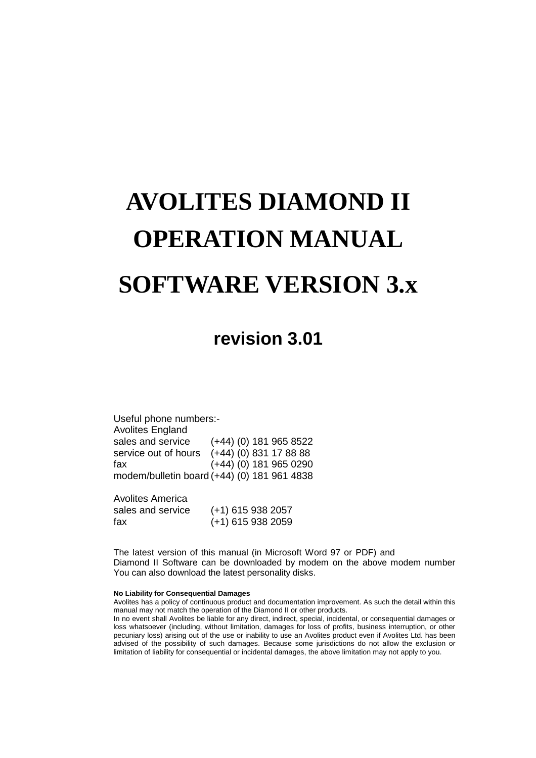# **AVOLITES DIAMOND II OPERATION MANUAL SOFTWARE VERSION 3.x**

# **revision 3.01**

Useful phone numbers:- Avolites England sales and service (+44) (0) 181 965 8522 service out of hours (+44) (0) 831 17 88 88 fax (+44) (0) 181 965 0290 modem/bulletin board (+44) (0) 181 961 4838

Avolites America sales and service (+1) 615 938 2057 fax (+1) 615 938 2059

The latest version of this manual (in Microsoft Word 97 or PDF) and Diamond II Software can be downloaded by modem on the above modem number You can also download the latest personality disks.

#### **No Liability for Consequential Damages**

Avolites has a policy of continuous product and documentation improvement. As such the detail within this manual may not match the operation of the Diamond II or other products.

In no event shall Avolites be liable for any direct, indirect, special, incidental, or consequential damages or loss whatsoever (including, without limitation, damages for loss of profits, business interruption, or other pecuniary loss) arising out of the use or inability to use an Avolites product even if Avolites Ltd. has been advised of the possibility of such damages. Because some jurisdictions do not allow the exclusion or limitation of liability for consequential or incidental damages, the above limitation may not apply to you.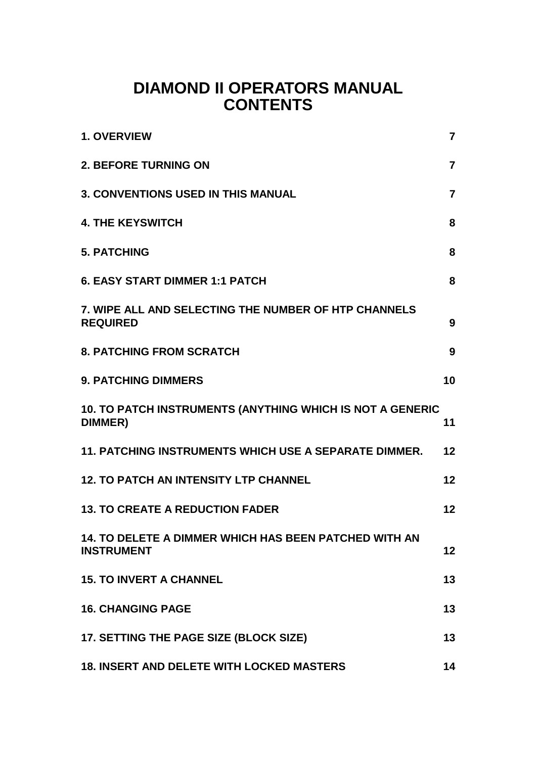# **DIAMOND II OPERATORS MANUAL CONTENTS**

| <b>1. OVERVIEW</b>                                                         | $\overline{7}$ |
|----------------------------------------------------------------------------|----------------|
| <b>2. BEFORE TURNING ON</b>                                                | $\overline{7}$ |
| <b>3. CONVENTIONS USED IN THIS MANUAL</b>                                  | $\overline{7}$ |
| <b>4. THE KEYSWITCH</b>                                                    | 8              |
| <b>5. PATCHING</b>                                                         | 8              |
| <b>6. EASY START DIMMER 1:1 PATCH</b>                                      | 8              |
| 7. WIPE ALL AND SELECTING THE NUMBER OF HTP CHANNELS<br><b>REQUIRED</b>    | 9              |
| <b>8. PATCHING FROM SCRATCH</b>                                            | 9              |
| <b>9. PATCHING DIMMERS</b>                                                 | 10             |
| 10. TO PATCH INSTRUMENTS (ANYTHING WHICH IS NOT A GENERIC<br>DIMMER)       | 11             |
| 11. PATCHING INSTRUMENTS WHICH USE A SEPARATE DIMMER.                      | 12             |
| <b>12. TO PATCH AN INTENSITY LTP CHANNEL</b>                               | 12             |
| <b>13. TO CREATE A REDUCTION FADER</b>                                     | 12             |
| 14. TO DELETE A DIMMER WHICH HAS BEEN PATCHED WITH AN<br><b>INSTRUMENT</b> | $12 \,$        |
| <b>15. TO INVERT A CHANNEL</b>                                             | 13             |
| <b>16. CHANGING PAGE</b>                                                   | 13             |
| 17. SETTING THE PAGE SIZE (BLOCK SIZE)                                     | 13             |
| <b>18. INSERT AND DELETE WITH LOCKED MASTERS</b>                           | 14             |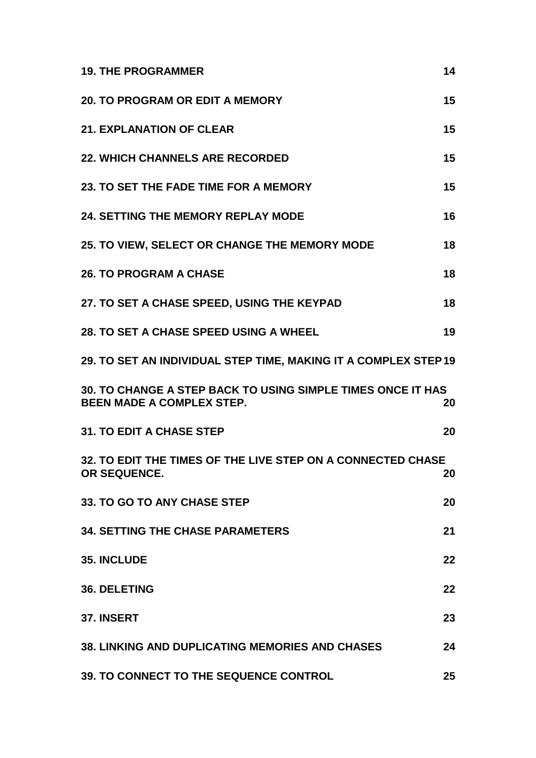| <b>19. THE PROGRAMMER</b>                                                                       | 14 |
|-------------------------------------------------------------------------------------------------|----|
| <b>20. TO PROGRAM OR EDIT A MEMORY</b>                                                          | 15 |
| <b>21. EXPLANATION OF CLEAR</b>                                                                 | 15 |
| <b>22. WHICH CHANNELS ARE RECORDED</b>                                                          | 15 |
| 23. TO SET THE FADE TIME FOR A MEMORY                                                           | 15 |
| <b>24. SETTING THE MEMORY REPLAY MODE</b>                                                       | 16 |
| 25. TO VIEW, SELECT OR CHANGE THE MEMORY MODE                                                   | 18 |
| <b>26. TO PROGRAM A CHASE</b>                                                                   | 18 |
| 27. TO SET A CHASE SPEED, USING THE KEYPAD                                                      | 18 |
| 28. TO SET A CHASE SPEED USING A WHEEL                                                          | 19 |
| 29. TO SET AN INDIVIDUAL STEP TIME, MAKING IT A COMPLEX STEP 19                                 |    |
| 30. TO CHANGE A STEP BACK TO USING SIMPLE TIMES ONCE IT HAS<br><b>BEEN MADE A COMPLEX STEP.</b> | 20 |
| <b>31. TO EDIT A CHASE STEP</b>                                                                 | 20 |
| 32. TO EDIT THE TIMES OF THE LIVE STEP ON A CONNECTED CHASE<br>OR SEQUENCE.                     | 20 |
| 33. TO GO TO ANY CHASE STEP                                                                     | 20 |
| <b>34. SETTING THE CHASE PARAMETERS</b>                                                         | 21 |
| <b>35. INCLUDE</b>                                                                              | 22 |
| <b>36. DELETING</b>                                                                             | 22 |
| 37. INSERT                                                                                      | 23 |
| <b>38. LINKING AND DUPLICATING MEMORIES AND CHASES</b>                                          | 24 |
|                                                                                                 |    |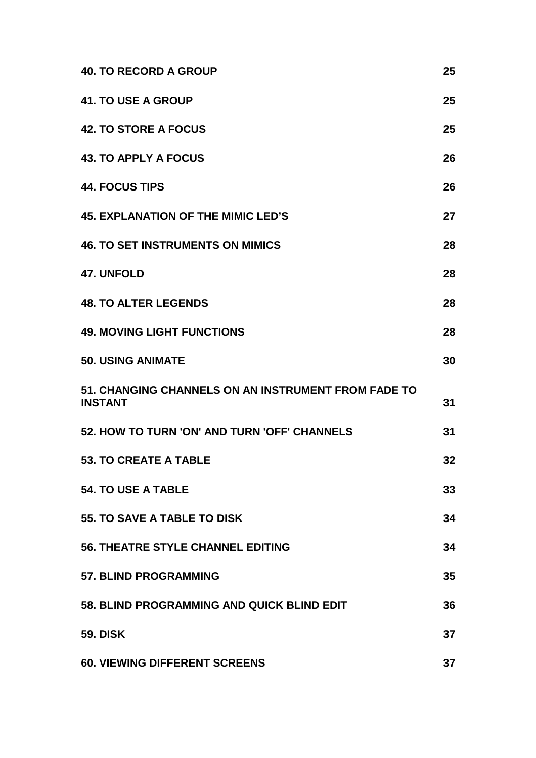| <b>40. TO RECORD A GROUP</b>                                          | 25 |
|-----------------------------------------------------------------------|----|
| <b>41. TO USE A GROUP</b>                                             | 25 |
| <b>42. TO STORE A FOCUS</b>                                           | 25 |
| <b>43. TO APPLY A FOCUS</b>                                           | 26 |
| <b>44. FOCUS TIPS</b>                                                 | 26 |
| <b>45. EXPLANATION OF THE MIMIC LED'S</b>                             | 27 |
| <b>46. TO SET INSTRUMENTS ON MIMICS</b>                               | 28 |
| <b>47. UNFOLD</b>                                                     | 28 |
| <b>48. TO ALTER LEGENDS</b>                                           | 28 |
| <b>49. MOVING LIGHT FUNCTIONS</b>                                     | 28 |
| <b>50. USING ANIMATE</b>                                              | 30 |
| 51. CHANGING CHANNELS ON AN INSTRUMENT FROM FADE TO<br><b>INSTANT</b> | 31 |
| 52. HOW TO TURN 'ON' AND TURN 'OFF' CHANNELS                          | 31 |
| <b>53. TO CREATE A TABLE</b>                                          | 32 |
| <b>54. TO USE A TABLE</b>                                             | 33 |
| <b>55. TO SAVE A TABLE TO DISK</b>                                    | 34 |
| <b>56. THEATRE STYLE CHANNEL EDITING</b>                              | 34 |
| <b>57. BLIND PROGRAMMING</b>                                          | 35 |
| 58. BLIND PROGRAMMING AND QUICK BLIND EDIT                            | 36 |
| <b>59. DISK</b>                                                       | 37 |
| <b>60. VIEWING DIFFERENT SCREENS</b>                                  | 37 |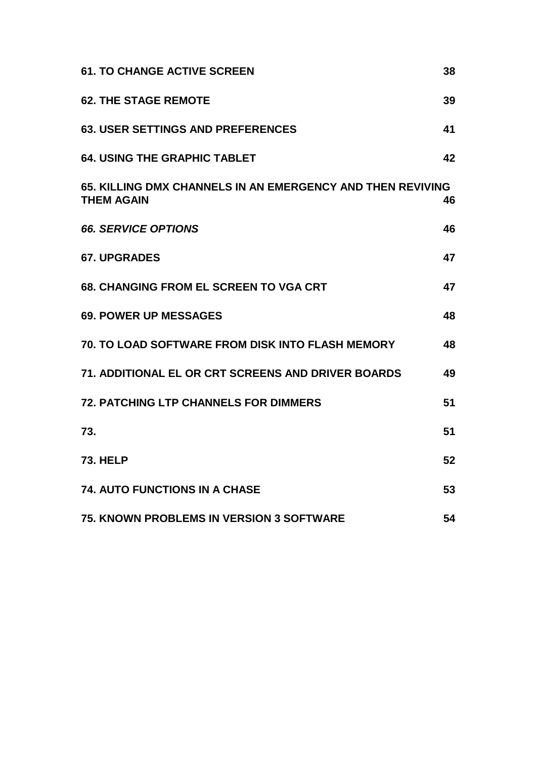| <b>61. TO CHANGE ACTIVE SCREEN</b>                                              | 38 |
|---------------------------------------------------------------------------------|----|
| <b>62. THE STAGE REMOTE</b>                                                     | 39 |
| <b>63. USER SETTINGS AND PREFERENCES</b>                                        | 41 |
| <b>64. USING THE GRAPHIC TABLET</b>                                             | 42 |
| 65. KILLING DMX CHANNELS IN AN EMERGENCY AND THEN REVIVING<br><b>THEM AGAIN</b> | 46 |
| <b>66. SERVICE OPTIONS</b>                                                      | 46 |
| <b>67. UPGRADES</b>                                                             | 47 |
| <b>68. CHANGING FROM EL SCREEN TO VGA CRT</b>                                   | 47 |
| <b>69. POWER UP MESSAGES</b>                                                    | 48 |
| <b>70. TO LOAD SOFTWARE FROM DISK INTO FLASH MEMORY</b>                         | 48 |
| 71. ADDITIONAL EL OR CRT SCREENS AND DRIVER BOARDS                              | 49 |
| <b>72. PATCHING LTP CHANNELS FOR DIMMERS</b>                                    | 51 |
| 73.                                                                             | 51 |
| <b>73. HELP</b>                                                                 | 52 |
| <b>74. AUTO FUNCTIONS IN A CHASE</b>                                            | 53 |
| <b>75. KNOWN PROBLEMS IN VERSION 3 SOFTWARE</b>                                 | 54 |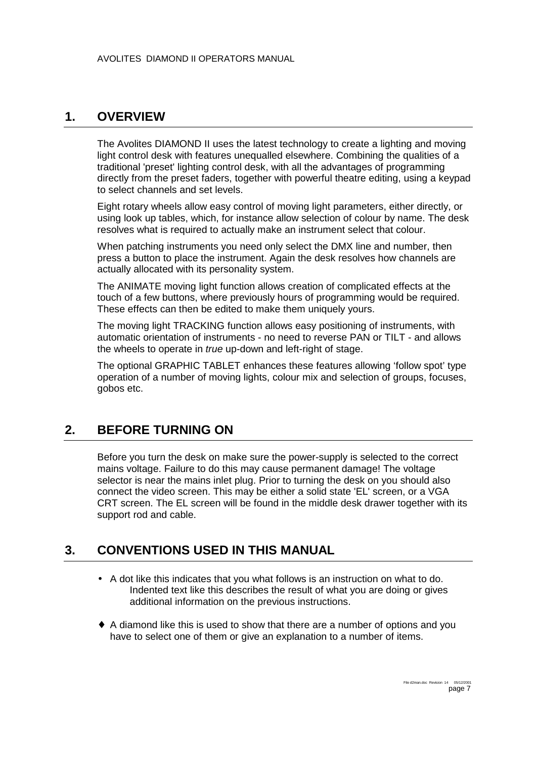### <span id="page-6-0"></span>**1. OVERVIEW**

The Avolites DIAMOND II uses the latest technology to create a lighting and moving light control desk with features unequalled elsewhere. Combining the qualities of a traditional 'preset' lighting control desk, with all the advantages of programming directly from the preset faders, together with powerful theatre editing, using a keypad to select channels and set levels.

Eight rotary wheels allow easy control of moving light parameters, either directly, or using look up tables, which, for instance allow selection of colour by name. The desk resolves what is required to actually make an instrument select that colour.

When patching instruments you need only select the DMX line and number, then press a button to place the instrument. Again the desk resolves how channels are actually allocated with its personality system.

The ANIMATE moving light function allows creation of complicated effects at the touch of a few buttons, where previously hours of programming would be required. These effects can then be edited to make them uniquely yours.

The moving light TRACKING function allows easy positioning of instruments, with automatic orientation of instruments - no need to reverse PAN or TILT - and allows the wheels to operate in *true* up-down and left-right of stage.

The optional GRAPHIC TABLET enhances these features allowing 'follow spot' type operation of a number of moving lights, colour mix and selection of groups, focuses, gobos etc.

### **2. BEFORE TURNING ON**

Before you turn the desk on make sure the power-supply is selected to the correct mains voltage. Failure to do this may cause permanent damage! The voltage selector is near the mains inlet plug. Prior to turning the desk on you should also connect the video screen. This may be either a solid state 'EL' screen, or a VGA CRT screen. The EL screen will be found in the middle desk drawer together with its support rod and cable.

### **3. CONVENTIONS USED IN THIS MANUAL**

- A dot like this indicates that you what follows is an instruction on what to do. Indented text like this describes the result of what you are doing or gives additional information on the previous instructions.
- ♦ A diamond like this is used to show that there are a number of options and you have to select one of them or give an explanation to a number of items.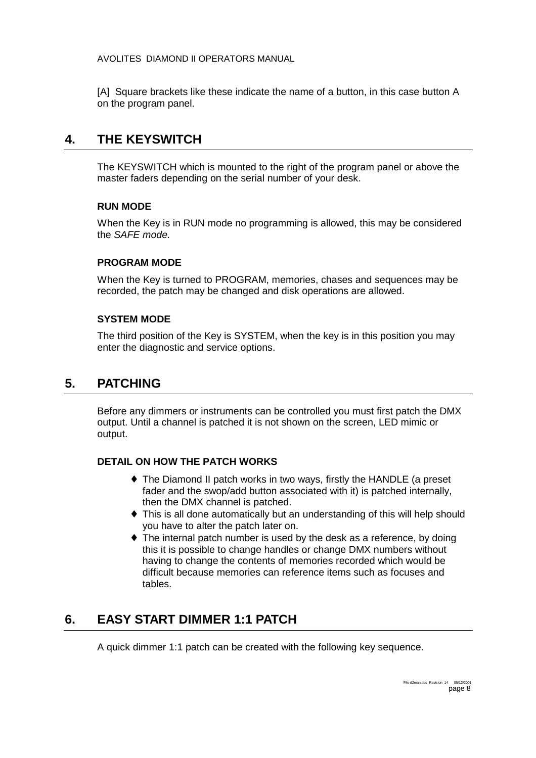<span id="page-7-0"></span>[A] Square brackets like these indicate the name of a button, in this case button A on the program panel.

### **4. THE KEYSWITCH**

The KEYSWITCH which is mounted to the right of the program panel or above the master faders depending on the serial number of your desk.

#### **RUN MODE**

When the Key is in RUN mode no programming is allowed, this may be considered the *SAFE mode.*

#### **PROGRAM MODE**

When the Key is turned to PROGRAM, memories, chases and sequences may be recorded, the patch may be changed and disk operations are allowed.

#### **SYSTEM MODE**

The third position of the Key is SYSTEM, when the key is in this position you may enter the diagnostic and service options.

### **5. PATCHING**

Before any dimmers or instruments can be controlled you must first patch the DMX output. Until a channel is patched it is not shown on the screen, LED mimic or output.

#### **DETAIL ON HOW THE PATCH WORKS**

- ♦ The Diamond II patch works in two ways, firstly the HANDLE (a preset fader and the swop/add button associated with it) is patched internally, then the DMX channel is patched.
- ♦ This is all done automatically but an understanding of this will help should you have to alter the patch later on.
- ♦ The internal patch number is used by the desk as a reference, by doing this it is possible to change handles or change DMX numbers without having to change the contents of memories recorded which would be difficult because memories can reference items such as focuses and tables.

### **6. EASY START DIMMER 1:1 PATCH**

A quick dimmer 1:1 patch can be created with the following key sequence.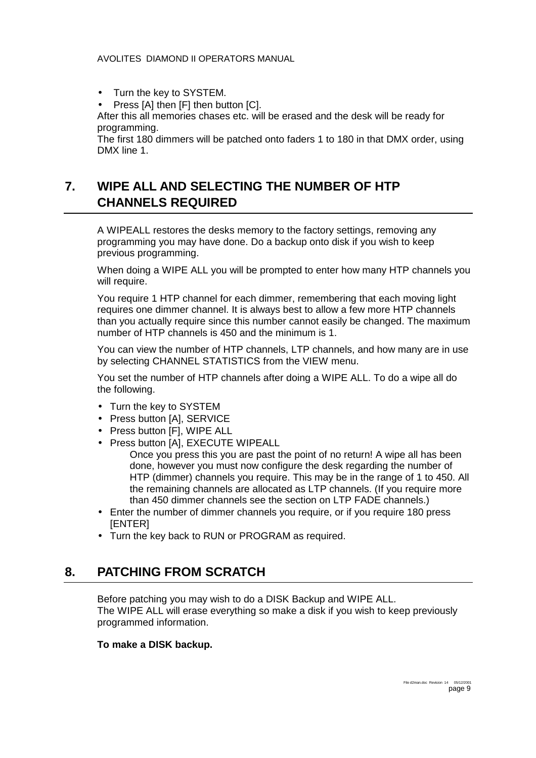- <span id="page-8-0"></span>• Turn the key to SYSTEM.
- Press [A] then [F] then button [C].

After this all memories chases etc. will be erased and the desk will be ready for programming.

The first 180 dimmers will be patched onto faders 1 to 180 in that DMX order, using DMX line 1.

# **7. WIPE ALL AND SELECTING THE NUMBER OF HTP CHANNELS REQUIRED**

A WIPEALL restores the desks memory to the factory settings, removing any programming you may have done. Do a backup onto disk if you wish to keep previous programming.

When doing a WIPE ALL you will be prompted to enter how many HTP channels you will require.

You require 1 HTP channel for each dimmer, remembering that each moving light requires one dimmer channel. It is always best to allow a few more HTP channels than you actually require since this number cannot easily be changed. The maximum number of HTP channels is 450 and the minimum is 1.

You can view the number of HTP channels, LTP channels, and how many are in use by selecting CHANNEL STATISTICS from the VIEW menu.

You set the number of HTP channels after doing a WIPE ALL. To do a wipe all do the following.

- Turn the key to SYSTEM
- Press button [A], SERVICE
- Press button [F], WIPE ALL
- Press button [A], EXECUTE WIPEALL

Once you press this you are past the point of no return! A wipe all has been done, however you must now configure the desk regarding the number of HTP (dimmer) channels you require. This may be in the range of 1 to 450. All the remaining channels are allocated as LTP channels. (If you require more than 450 dimmer channels see the section on LTP FADE channels.)

- Enter the number of dimmer channels you require, or if you require 180 press [ENTER]
- Turn the key back to RUN or PROGRAM as required.

### **8. PATCHING FROM SCRATCH**

Before patching you may wish to do a DISK Backup and WIPE ALL. The WIPE ALL will erase everything so make a disk if you wish to keep previously programmed information.

#### **To make a DISK backup.**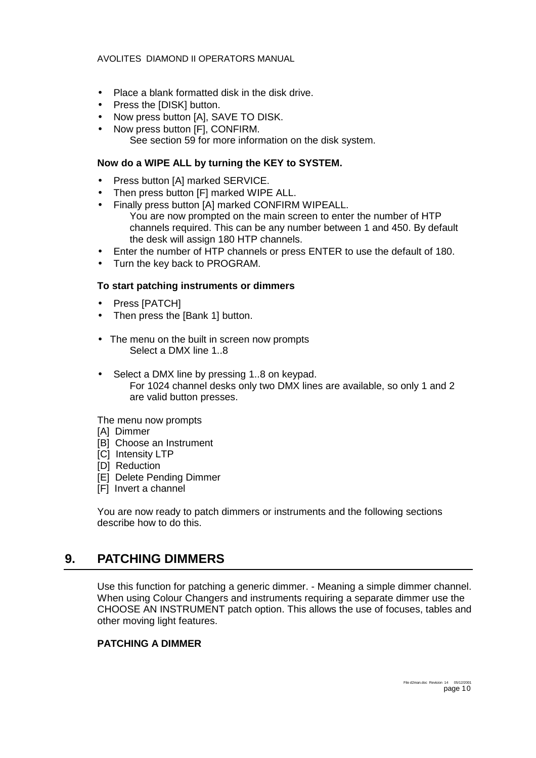- <span id="page-9-0"></span>• Place a blank formatted disk in the disk drive.
- Press the [DISK] button.
- Now press button [A], SAVE TO DISK.
- Now press button [F], CONFIRM. See section [59](#page-36-0) for more information on the disk system.

#### **Now do a WIPE ALL by turning the KEY to SYSTEM.**

- Press button [A] marked SERVICE.
- Then press button [F] marked WIPE ALL.
- Finally press button [A] marked CONFIRM WIPEALL. You are now prompted on the main screen to enter the number of HTP channels required. This can be any number between 1 and 450. By default the desk will assign 180 HTP channels.
- Enter the number of HTP channels or press ENTER to use the default of 180.
- Turn the key back to PROGRAM.

#### **To start patching instruments or dimmers**

- Press [PATCH]
- Then press the [Bank 1] button.
- The menu on the built in screen now prompts Select a DMX line 1..8
- Select a DMX line by pressing 1..8 on keypad. For 1024 channel desks only two DMX lines are available, so only 1 and 2 are valid button presses.

The menu now prompts

- [A] Dimmer
- [B] Choose an Instrument
- **[C]** Intensity LTP
- [D] Reduction
- [E] Delete Pending Dimmer
- [F] Invert a channel

You are now ready to patch dimmers or instruments and the following sections describe how to do this.

### **9. PATCHING DIMMERS**

Use this function for patching a generic dimmer. - Meaning a simple dimmer channel. When using Colour Changers and instruments requiring a separate dimmer use the CHOOSE AN INSTRUMENT patch option. This allows the use of focuses, tables and other moving light features.

#### **PATCHING A DIMMER**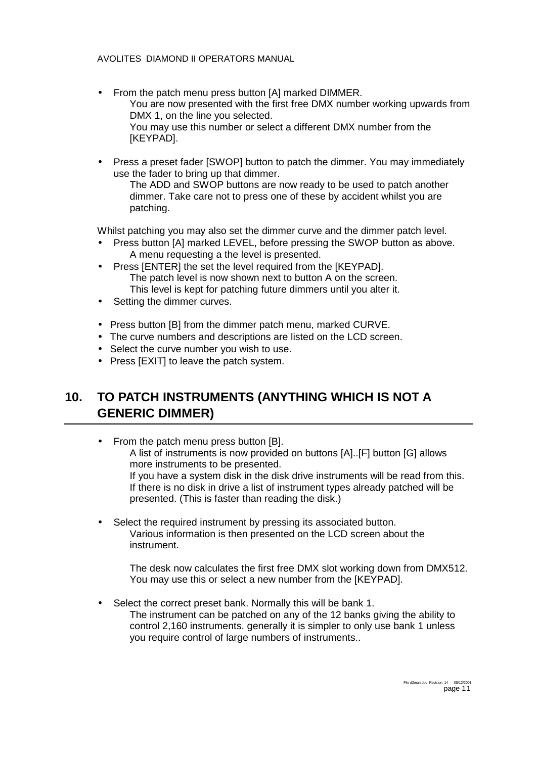- <span id="page-10-0"></span>• From the patch menu press button [A] marked DIMMER. You are now presented with the first free DMX number working upwards from DMX 1, on the line you selected. You may use this number or select a different DMX number from the [KEYPAD].
- Press a preset fader [SWOP] button to patch the dimmer. You may immediately use the fader to bring up that dimmer.

The ADD and SWOP buttons are now ready to be used to patch another dimmer. Take care not to press one of these by accident whilst you are patching.

Whilst patching you may also set the dimmer curve and the dimmer patch level.

- Press button [A] marked LEVEL, before pressing the SWOP button as above. A menu requesting a the level is presented.
- Press [ENTER] the set the level required from the [KEYPAD]. The patch level is now shown next to button A on the screen. This level is kept for patching future dimmers until you alter it.
- Setting the dimmer curves.
- Press button [B] from the dimmer patch menu, marked CURVE.
- The curve numbers and descriptions are listed on the LCD screen.
- Select the curve number you wish to use.
- Press [EXIT] to leave the patch system.

# **10. TO PATCH INSTRUMENTS (ANYTHING WHICH IS NOT A GENERIC DIMMER)**

- From the patch menu press button [B]. A list of instruments is now provided on buttons [A]..[F] button [G] allows more instruments to be presented. If you have a system disk in the disk drive instruments will be read from this. If there is no disk in drive a list of instrument types already patched will be presented. (This is faster than reading the disk.)
- Select the required instrument by pressing its associated button. Various information is then presented on the LCD screen about the instrument.

The desk now calculates the first free DMX slot working down from DMX512. You may use this or select a new number from the [KEYPAD].

Select the correct preset bank. Normally this will be bank 1. The instrument can be patched on any of the 12 banks giving the ability to control 2,160 instruments. generally it is simpler to only use bank 1 unless you require control of large numbers of instruments..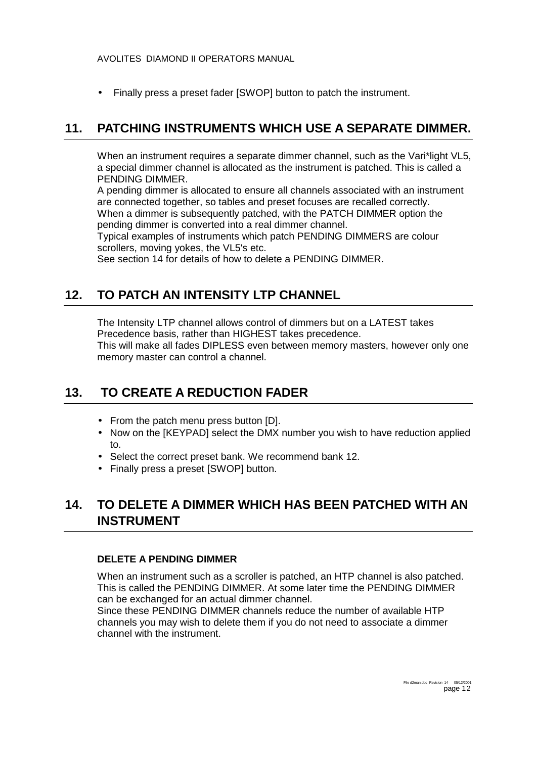<span id="page-11-0"></span>• Finally press a preset fader [SWOP] button to patch the instrument.

### **11. PATCHING INSTRUMENTS WHICH USE A SEPARATE DIMMER.**

When an instrument requires a separate dimmer channel, such as the Vari\*light VL5, a special dimmer channel is allocated as the instrument is patched. This is called a PENDING DIMMER.

A pending dimmer is allocated to ensure all channels associated with an instrument are connected together, so tables and preset focuses are recalled correctly. When a dimmer is subsequently patched, with the PATCH DIMMER option the pending dimmer is converted into a real dimmer channel.

Typical examples of instruments which patch PENDING DIMMERS are colour scrollers, moving yokes, the VL5's etc.

See section 14 for details of how to delete a PENDING DIMMER.

### **12. TO PATCH AN INTENSITY LTP CHANNEL**

The Intensity LTP channel allows control of dimmers but on a LATEST takes Precedence basis, rather than HIGHEST takes precedence. This will make all fades DIPLESS even between memory masters, however only one memory master can control a channel.

### **13. TO CREATE A REDUCTION FADER**

- From the patch menu press button [D].
- Now on the [KEYPAD] select the DMX number you wish to have reduction applied to.
- Select the correct preset bank. We recommend bank 12.
- Finally press a preset [SWOP] button.

### **14. TO DELETE A DIMMER WHICH HAS BEEN PATCHED WITH AN INSTRUMENT**

#### **DELETE A PENDING DIMMER**

When an instrument such as a scroller is patched, an HTP channel is also patched. This is called the PENDING DIMMER. At some later time the PENDING DIMMER can be exchanged for an actual dimmer channel.

Since these PENDING DIMMER channels reduce the number of available HTP channels you may wish to delete them if you do not need to associate a dimmer channel with the instrument.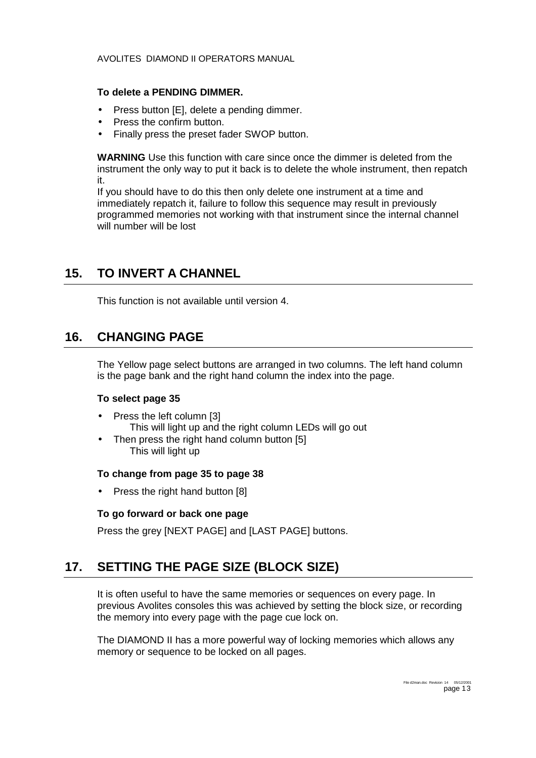#### <span id="page-12-0"></span>**To delete a PENDING DIMMER.**

- Press button [E], delete a pending dimmer.
- Press the confirm button.
- Finally press the preset fader SWOP button.

**WARNING** Use this function with care since once the dimmer is deleted from the instrument the only way to put it back is to delete the whole instrument, then repatch it.

If you should have to do this then only delete one instrument at a time and immediately repatch it, failure to follow this sequence may result in previously programmed memories not working with that instrument since the internal channel will number will be lost

### **15. TO INVERT A CHANNEL**

This function is not available until version 4.

### **16. CHANGING PAGE**

The Yellow page select buttons are arranged in two columns. The left hand column is the page bank and the right hand column the index into the page.

#### **To select page 35**

- Press the left column [3]
	- This will light up and the right column LEDs will go out
- Then press the right hand column button [5] This will light up

#### **To change from page 35 to page 38**

Press the right hand button [8]

#### **To go forward or back one page**

Press the grey [NEXT PAGE] and [LAST PAGE] buttons.

### **17. SETTING THE PAGE SIZE (BLOCK SIZE)**

It is often useful to have the same memories or sequences on every page. In previous Avolites consoles this was achieved by setting the block size, or recording the memory into every page with the page cue lock on.

The DIAMOND II has a more powerful way of locking memories which allows any memory or sequence to be locked on all pages.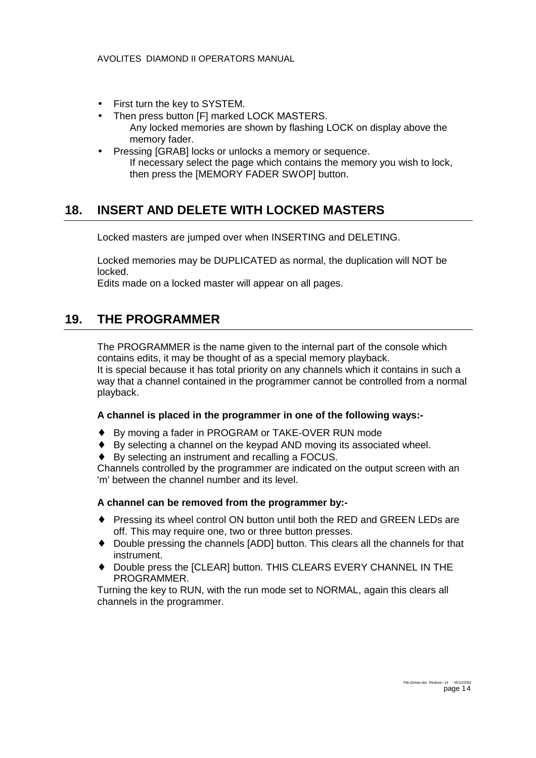- <span id="page-13-0"></span>First turn the key to SYSTEM.
- Then press button [F] marked LOCK MASTERS. Any locked memories are shown by flashing LOCK on display above the memory fader.
- Pressing [GRAB] locks or unlocks a memory or sequence. If necessary select the page which contains the memory you wish to lock, then press the [MEMORY FADER SWOP] button.

### **18. INSERT AND DELETE WITH LOCKED MASTERS**

Locked masters are jumped over when INSERTING and DELETING.

Locked memories may be DUPLICATED as normal, the duplication will NOT be locked.

Edits made on a locked master will appear on all pages.

### **19. THE PROGRAMMER**

The PROGRAMMER is the name given to the internal part of the console which contains edits, it may be thought of as a special memory playback. It is special because it has total priority on any channels which it contains in such a way that a channel contained in the programmer cannot be controlled from a normal playback.

#### **A channel is placed in the programmer in one of the following ways:-**

- ♦ By moving a fader in PROGRAM or TAKE-OVER RUN mode
- ♦ By selecting a channel on the keypad AND moving its associated wheel.
- ♦ By selecting an instrument and recalling a FOCUS.

Channels controlled by the programmer are indicated on the output screen with an 'm' between the channel number and its level.

#### **A channel can be removed from the programmer by:-**

- ♦ Pressing its wheel control ON button until both the RED and GREEN LEDs are off. This may require one, two or three button presses.
- ♦ Double pressing the channels [ADD] button. This clears all the channels for that instrument.
- Double press the [CLEAR] button. THIS CLEARS EVERY CHANNEL IN THE PROGRAMMER.

Turning the key to RUN, with the run mode set to NORMAL, again this clears all channels in the programmer.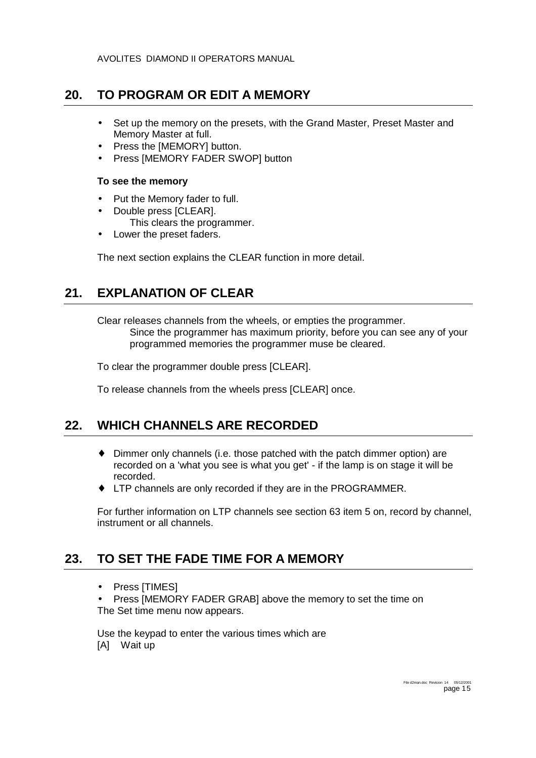### <span id="page-14-0"></span>**20. TO PROGRAM OR EDIT A MEMORY**

- Set up the memory on the presets, with the Grand Master, Preset Master and Memory Master at full.
- Press the **[MEMORY]** button.
- Press [MEMORY FADER SWOP] button

#### **To see the memory**

- Put the Memory fader to full.
- Double press [CLEAR].
	- This clears the programmer.
- Lower the preset faders.

The next section explains the CLEAR function in more detail.

# **21. EXPLANATION OF CLEAR**

Clear releases channels from the wheels, or empties the programmer. Since the programmer has maximum priority, before you can see any of your programmed memories the programmer muse be cleared.

To clear the programmer double press [CLEAR].

To release channels from the wheels press [CLEAR] once.

### **22. WHICH CHANNELS ARE RECORDED**

- ♦ Dimmer only channels (i.e. those patched with the patch dimmer option) are recorded on a 'what you see is what you get' - if the lamp is on stage it will be recorded.
- ♦ LTP channels are only recorded if they are in the PROGRAMMER.

For further information on LTP channels see section [63](#page-40-0) item 5 on, record by channel, instrument or all channels.

# **23. TO SET THE FADE TIME FOR A MEMORY**

• Press [TIMES]

• Press [MEMORY FADER GRAB] above the memory to set the time on The Set time menu now appears.

Use the keypad to enter the various times which are [A] Wait up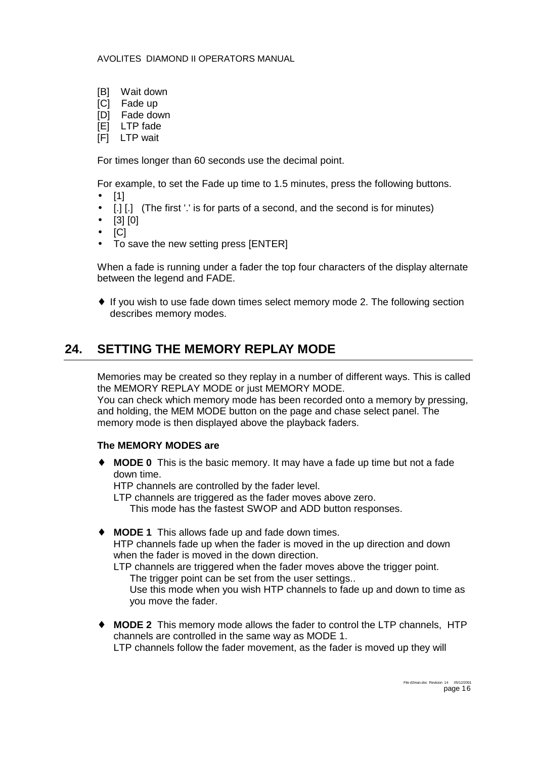- <span id="page-15-0"></span>[B] Wait down
- [C] Fade up
- [D] Fade down
- $|E|$  LTP fade
- [F] LTP wait

For times longer than 60 seconds use the decimal point.

For example, to set the Fade up time to 1.5 minutes, press the following buttons.

- [1]
- [.] [.] (The first '.' is for parts of a second, and the second is for minutes)
- [3] [0]
- $\bullet$  [C]
- To save the new setting press [ENTER]

When a fade is running under a fader the top four characters of the display alternate between the legend and FADE.

• If you wish to use fade down times select memory mode 2. The following section describes memory modes.

### **24. SETTING THE MEMORY REPLAY MODE**

Memories may be created so they replay in a number of different ways. This is called the MEMORY REPLAY MODE or just MEMORY MODE.

You can check which memory mode has been recorded onto a memory by pressing, and holding, the MEM MODE button on the page and chase select panel. The memory mode is then displayed above the playback faders.

#### **The MEMORY MODES are**

**MODE 0** This is the basic memory. It may have a fade up time but not a fade down time.

HTP channels are controlled by the fader level.

LTP channels are triggered as the fader moves above zero.

This mode has the fastest SWOP and ADD button responses.

♦ **MODE 1** This allows fade up and fade down times. HTP channels fade up when the fader is moved in the up direction and down when the fader is moved in the down direction.

LTP channels are triggered when the fader moves above the trigger point. The trigger point can be set from the user settings..

Use this mode when you wish HTP channels to fade up and down to time as you move the fader.

♦ **MODE 2** This memory mode allows the fader to control the LTP channels, HTP channels are controlled in the same way as MODE 1. LTP channels follow the fader movement, as the fader is moved up they will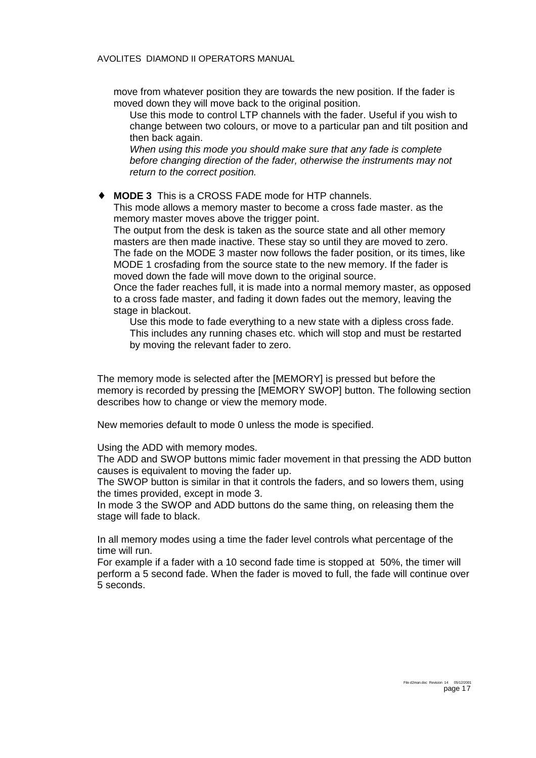move from whatever position they are towards the new position. If the fader is moved down they will move back to the original position.

Use this mode to control LTP channels with the fader. Useful if you wish to change between two colours, or move to a particular pan and tilt position and then back again.

*When using this mode you should make sure that any fade is complete before changing direction of the fader, otherwise the instruments may not return to the correct position.* 

♦ **MODE 3** This is a CROSS FADE mode for HTP channels.

This mode allows a memory master to become a cross fade master. as the memory master moves above the trigger point.

The output from the desk is taken as the source state and all other memory masters are then made inactive. These stay so until they are moved to zero. The fade on the MODE 3 master now follows the fader position, or its times, like MODE 1 crosfading from the source state to the new memory. If the fader is moved down the fade will move down to the original source.

Once the fader reaches full, it is made into a normal memory master, as opposed to a cross fade master, and fading it down fades out the memory, leaving the stage in blackout.

Use this mode to fade everything to a new state with a dipless cross fade. This includes any running chases etc. which will stop and must be restarted by moving the relevant fader to zero.

The memory mode is selected after the [MEMORY] is pressed but before the memory is recorded by pressing the [MEMORY SWOP] button. The following section describes how to change or view the memory mode.

New memories default to mode 0 unless the mode is specified.

Using the ADD with memory modes.

The ADD and SWOP buttons mimic fader movement in that pressing the ADD button causes is equivalent to moving the fader up.

The SWOP button is similar in that it controls the faders, and so lowers them, using the times provided, except in mode 3.

In mode 3 the SWOP and ADD buttons do the same thing, on releasing them the stage will fade to black.

In all memory modes using a time the fader level controls what percentage of the time will run.

For example if a fader with a 10 second fade time is stopped at 50%, the timer will perform a 5 second fade. When the fader is moved to full, the fade will continue over 5 seconds.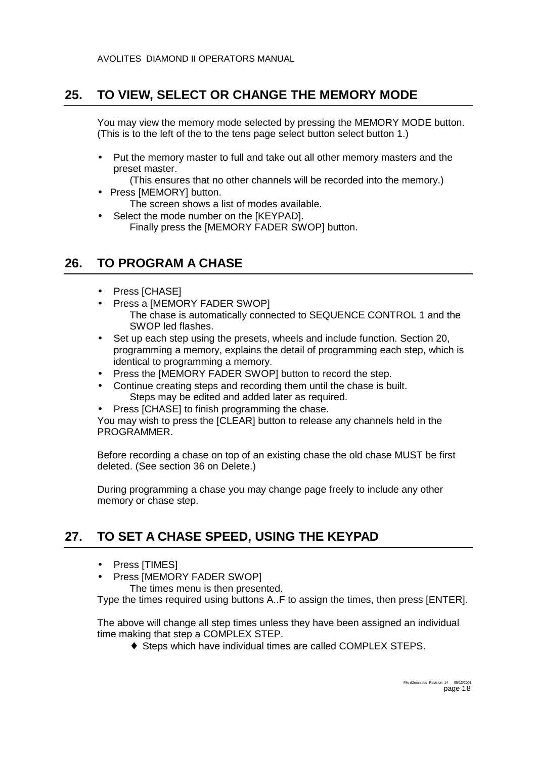### <span id="page-17-0"></span>**25. TO VIEW, SELECT OR CHANGE THE MEMORY MODE**

You may view the memory mode selected by pressing the MEMORY MODE button. (This is to the left of the to the tens page select button select button 1.)

• Put the memory master to full and take out all other memory masters and the preset master.

(This ensures that no other channels will be recorded into the memory.)

• Press [MEMORY] button.

The screen shows a list of modes available.

Select the mode number on the [KEYPAD]. Finally press the [MEMORY FADER SWOP] button.

### **26. TO PROGRAM A CHASE**

- Press [CHASE]
- Press a [MEMORY FADER SWOP] The chase is automatically connected to SEQUENCE CONTROL 1 and the SWOP led flashes.
- Set up each step using the presets, wheels and include function. Section [20,](#page-14-0) programming a memory, explains the detail of programming each step, which is identical to programming a memory.
- Press the [MEMORY FADER SWOP] button to record the step.
- Continue creating steps and recording them until the chase is built. Steps may be edited and added later as required.
- Press [CHASE] to finish programming the chase.

You may wish to press the [CLEAR] button to release any channels held in the PROGRAMMER.

Before recording a chase on top of an existing chase the old chase MUST be first deleted. (See section [36](#page-21-0) on Delete.)

During programming a chase you may change page freely to include any other memory or chase step.

# **27. TO SET A CHASE SPEED, USING THE KEYPAD**

- Press [TIMES]
- Press [MEMORY FADER SWOP]

The times menu is then presented.

Type the times required using buttons A..F to assign the times, then press [ENTER].

The above will change all step times unless they have been assigned an individual time making that step a COMPLEX STEP.

♦ Steps which have individual times are called COMPLEX STEPS.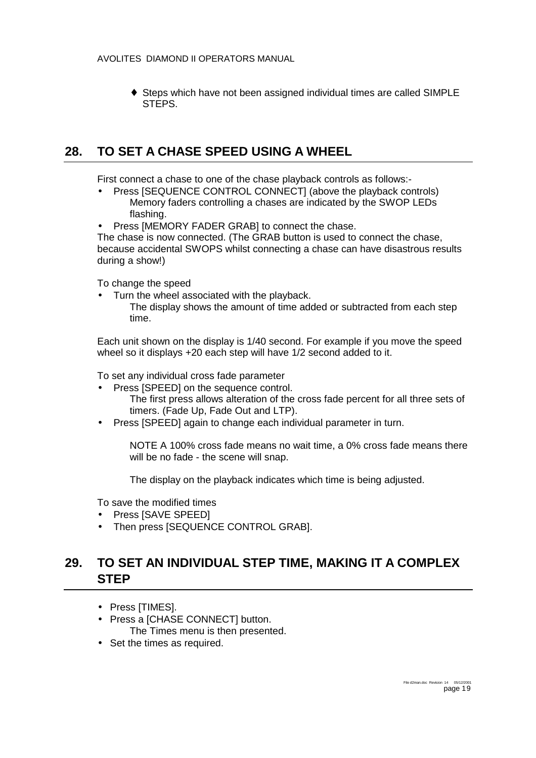<span id="page-18-0"></span>♦ Steps which have not been assigned individual times are called SIMPLE **STEPS** 

### **28. TO SET A CHASE SPEED USING A WHEEL**

First connect a chase to one of the chase playback controls as follows:-

- Press [SEQUENCE CONTROL CONNECT] (above the playback controls) Memory faders controlling a chases are indicated by the SWOP LEDs flashing.
- Press [MEMORY FADER GRAB] to connect the chase.

The chase is now connected. (The GRAB button is used to connect the chase, because accidental SWOPS whilst connecting a chase can have disastrous results during a show!)

To change the speed

• Turn the wheel associated with the playback. The display shows the amount of time added or subtracted from each step time.

Each unit shown on the display is 1/40 second. For example if you move the speed wheel so it displays +20 each step will have 1/2 second added to it.

To set any individual cross fade parameter

- Press [SPEED] on the sequence control. The first press allows alteration of the cross fade percent for all three sets of timers. (Fade Up, Fade Out and LTP).
- Press [SPEED] again to change each individual parameter in turn.

NOTE A 100% cross fade means no wait time, a 0% cross fade means there will be no fade - the scene will snap.

The display on the playback indicates which time is being adjusted.

To save the modified times

- Press [SAVE SPEED]
- Then press [SEQUENCE CONTROL GRAB].

### **29. TO SET AN INDIVIDUAL STEP TIME, MAKING IT A COMPLEX STEP**

- Press [TIMES].
- Press a [CHASE CONNECT] button. The Times menu is then presented.
- 
- Set the times as required.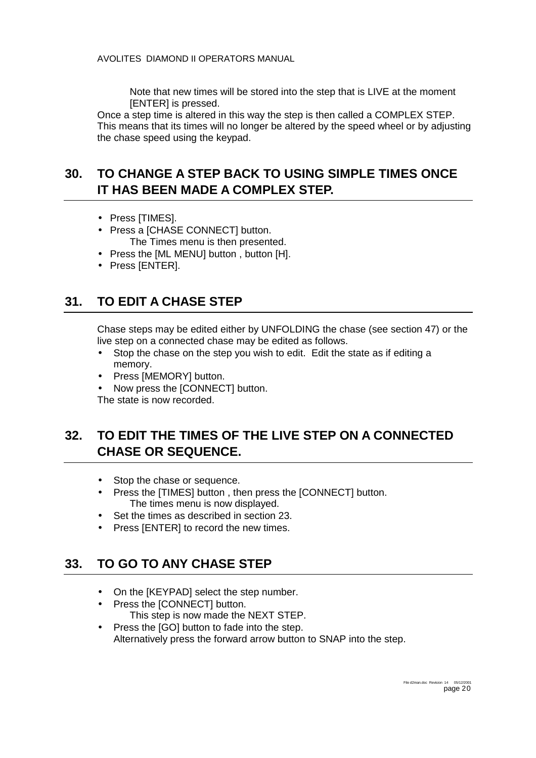Note that new times will be stored into the step that is LIVE at the moment [ENTER] is pressed.

<span id="page-19-0"></span>Once a step time is altered in this way the step is then called a COMPLEX STEP. This means that its times will no longer be altered by the speed wheel or by adjusting the chase speed using the keypad.

### **30. TO CHANGE A STEP BACK TO USING SIMPLE TIMES ONCE IT HAS BEEN MADE A COMPLEX STEP.**

- Press [TIMES].
- Press a [CHASE CONNECT] button. The Times menu is then presented.
- Press the [ML MENU] button , button [H].
- Press [ENTER].

# **31. TO EDIT A CHASE STEP**

Chase steps may be edited either by UNFOLDING the chase (see section [47\)](#page-27-0) or the live step on a connected chase may be edited as follows.

- Stop the chase on the step you wish to edit. Edit the state as if editing a memory.
- Press [MEMORY] button.
- Now press the [CONNECT] button.

The state is now recorded.

### **32. TO EDIT THE TIMES OF THE LIVE STEP ON A CONNECTED CHASE OR SEQUENCE.**

- Stop the chase or sequence.
- Press the [TIMES] button , then press the [CONNECT] button. The times menu is now displayed.
- Set the times as described in section [23.](#page-14-0)
- Press [ENTER] to record the new times.

### **33. TO GO TO ANY CHASE STEP**

- On the [KEYPAD] select the step number.
- Press the [CONNECT] button. This step is now made the NEXT STEP.
- Press the [GO] button to fade into the step. Alternatively press the forward arrow button to SNAP into the step.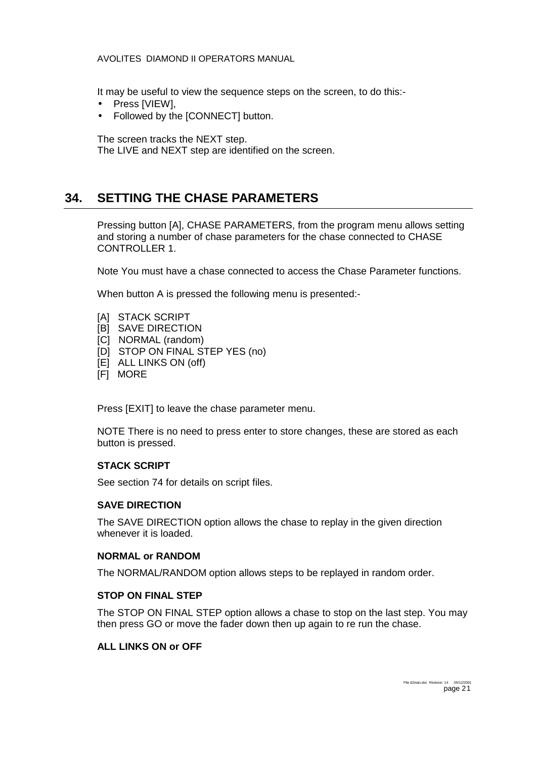<span id="page-20-0"></span>It may be useful to view the sequence steps on the screen, to do this:-

- Press [VIEW],
- Followed by the [CONNECT] button.

The screen tracks the NEXT step.

The LIVE and NEXT step are identified on the screen.

### **34. SETTING THE CHASE PARAMETERS**

Pressing button [A], CHASE PARAMETERS, from the program menu allows setting and storing a number of chase parameters for the chase connected to CHASE CONTROLLER 1.

Note You must have a chase connected to access the Chase Parameter functions.

When button A is pressed the following menu is presented:-

- [A] STACK SCRIPT
- [B] SAVE DIRECTION
- [C] NORMAL (random)
- [D] STOP ON FINAL STEP YES (no)
- [E] ALL LINKS ON (off)
- [F] MORE

Press [EXIT] to leave the chase parameter menu.

NOTE There is no need to press enter to store changes, these are stored as each button is pressed.

#### **STACK SCRIPT**

See section [74](#page-52-0) for details on script files.

#### **SAVE DIRECTION**

The SAVE DIRECTION option allows the chase to replay in the given direction whenever it is loaded.

#### **NORMAL or RANDOM**

The NORMAL/RANDOM option allows steps to be replayed in random order.

#### **STOP ON FINAL STEP**

The STOP ON FINAL STEP option allows a chase to stop on the last step. You may then press GO or move the fader down then up again to re run the chase.

#### **ALL LINKS ON or OFF**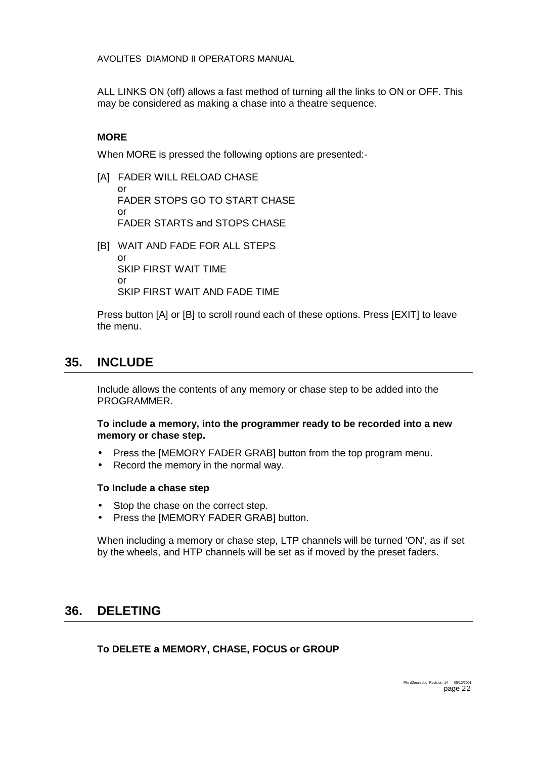<span id="page-21-0"></span>ALL LINKS ON (off) allows a fast method of turning all the links to ON or OFF. This may be considered as making a chase into a theatre sequence.

#### **MORE**

When MORE is pressed the following options are presented:-

[A] FADER WILL RELOAD CHASE

or FADER STOPS GO TO START CHASE or FADER STARTS and STOPS CHASE

[B] WAIT AND FADE FOR ALL STEPS or SKIP FIRST WAIT TIME or SKIP FIRST WAIT AND FADE TIME

Press button [A] or [B] to scroll round each of these options. Press [EXIT] to leave the menu.

### **35. INCLUDE**

Include allows the contents of any memory or chase step to be added into the PROGRAMMER.

#### **To include a memory, into the programmer ready to be recorded into a new memory or chase step.**

- Press the [MEMORY FADER GRAB] button from the top program menu.
- Record the memory in the normal way.

#### **To Include a chase step**

- Stop the chase on the correct step.
- Press the [MEMORY FADER GRAB] button.

When including a memory or chase step, LTP channels will be turned 'ON', as if set by the wheels, and HTP channels will be set as if moved by the preset faders.

### **36. DELETING**

**To DELETE a MEMORY, CHASE, FOCUS or GROUP**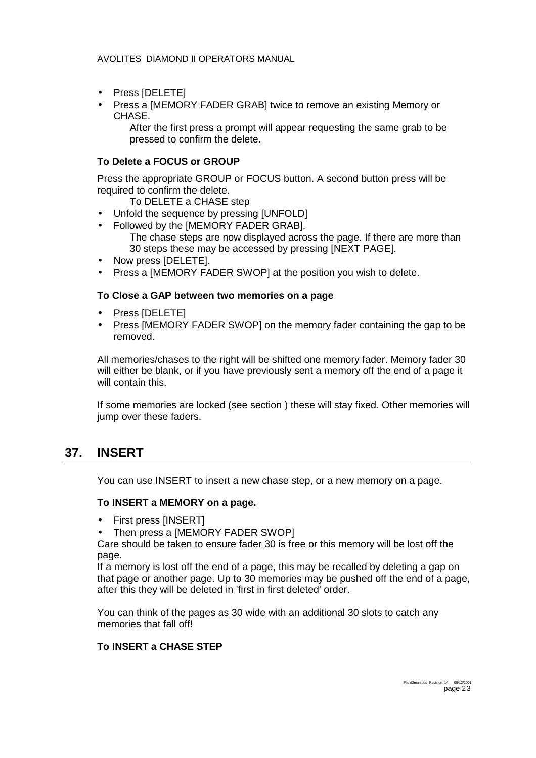- <span id="page-22-0"></span>• Press [DELETE]
- Press a [MEMORY FADER GRAB] twice to remove an existing Memory or CHASE.

After the first press a prompt will appear requesting the same grab to be pressed to confirm the delete.

#### **To Delete a FOCUS or GROUP**

Press the appropriate GROUP or FOCUS button. A second button press will be required to confirm the delete.

To DELETE a CHASE step

- Unfold the sequence by pressing [UNFOLD]
- Followed by the [MEMORY FADER GRAB]. The chase steps are now displayed across the page. If there are more than 30 steps these may be accessed by pressing [NEXT PAGE].
- Now press [DELETE].
- Press a IMEMORY FADER SWOP] at the position you wish to delete.

#### **To Close a GAP between two memories on a page**

- Press [DELETE]
- Press [MEMORY FADER SWOP] on the memory fader containing the gap to be removed.

All memories/chases to the right will be shifted one memory fader. Memory fader 30 will either be blank, or if you have previously sent a memory off the end of a page it will contain this.

If some memories are locked (see section ) these will stay fixed. Other memories will jump over these faders.

### **37. INSERT**

You can use INSERT to insert a new chase step, or a new memory on a page.

#### **To INSERT a MEMORY on a page.**

- First press [INSERT]
- Then press a [MEMORY FADER SWOP]

Care should be taken to ensure fader 30 is free or this memory will be lost off the page.

If a memory is lost off the end of a page, this may be recalled by deleting a gap on that page or another page. Up to 30 memories may be pushed off the end of a page, after this they will be deleted in 'first in first deleted' order.

You can think of the pages as 30 wide with an additional 30 slots to catch any memories that fall off!

### **To INSERT a CHASE STEP**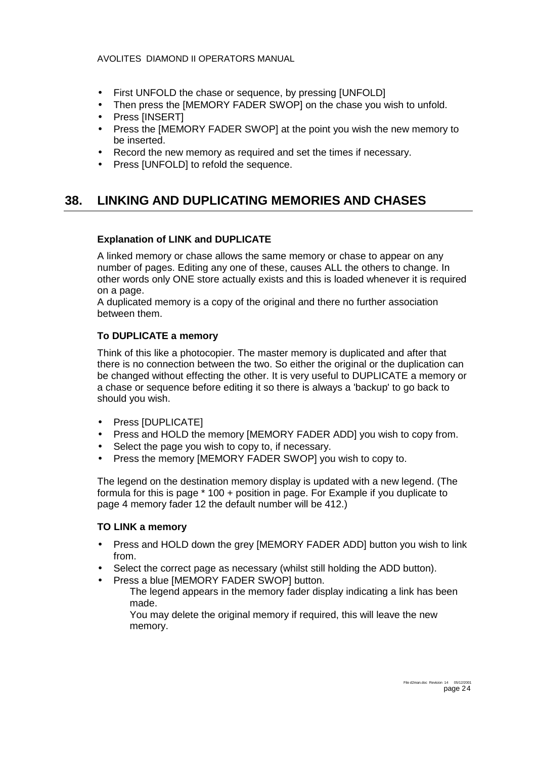- <span id="page-23-0"></span>• First UNFOLD the chase or sequence, by pressing [UNFOLD]
- Then press the IMEMORY FADER SWOPI on the chase you wish to unfold.
- Press [INSERT]
- Press the [MEMORY FADER SWOP] at the point you wish the new memory to be inserted.
- Record the new memory as required and set the times if necessary.
- Press [UNFOLD] to refold the sequence.

### **38. LINKING AND DUPLICATING MEMORIES AND CHASES**

#### **Explanation of LINK and DUPLICATE**

A linked memory or chase allows the same memory or chase to appear on any number of pages. Editing any one of these, causes ALL the others to change. In other words only ONE store actually exists and this is loaded whenever it is required on a page.

A duplicated memory is a copy of the original and there no further association between them.

#### **To DUPLICATE a memory**

Think of this like a photocopier. The master memory is duplicated and after that there is no connection between the two. So either the original or the duplication can be changed without effecting the other. It is very useful to DUPLICATE a memory or a chase or sequence before editing it so there is always a 'backup' to go back to should you wish.

- Press [DUPLICATE]
- Press and HOLD the memory [MEMORY FADER ADD] you wish to copy from.
- Select the page you wish to copy to, if necessary.
- Press the memory [MEMORY FADER SWOP] you wish to copy to.

The legend on the destination memory display is updated with a new legend. (The formula for this is page \* 100 + position in page. For Example if you duplicate to page 4 memory fader 12 the default number will be 412.)

#### **TO LINK a memory**

- Press and HOLD down the grey [MEMORY FADER ADD] button you wish to link from.
- Select the correct page as necessary (whilst still holding the ADD button).
- Press a blue [MEMORY FADER SWOP] button.

The legend appears in the memory fader display indicating a link has been made.

You may delete the original memory if required, this will leave the new memory.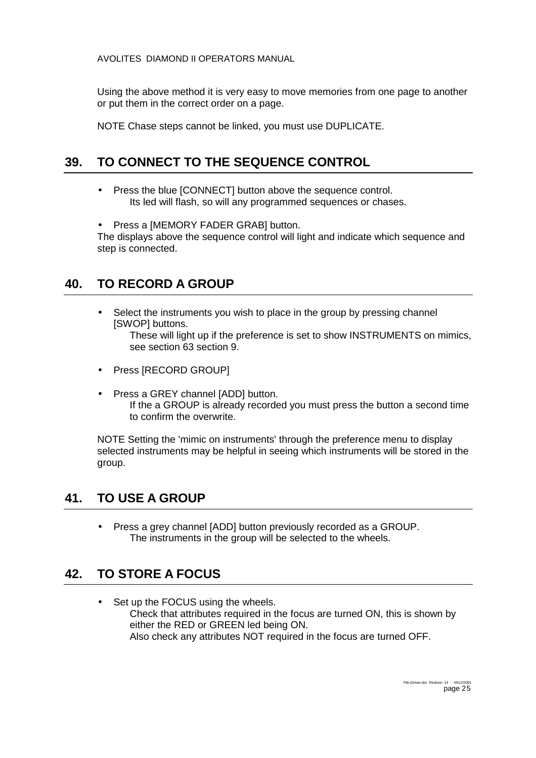<span id="page-24-0"></span>Using the above method it is very easy to move memories from one page to another or put them in the correct order on a page.

NOTE Chase steps cannot be linked, you must use DUPLICATE.

### **39. TO CONNECT TO THE SEQUENCE CONTROL**

- Press the blue [CONNECT] button above the sequence control. Its led will flash, so will any programmed sequences or chases.
- Press a [MEMORY FADER GRAB] button.

The displays above the sequence control will light and indicate which sequence and step is connected.

### **40. TO RECORD A GROUP**

• Select the instruments you wish to place in the group by pressing channel [SWOP] buttons.

These will light up if the preference is set to show INSTRUMENTS on mimics, see section [63](#page-40-0) section 9.

- Press [RECORD GROUP]
- Press a GREY channel [ADD] button. If the a GROUP is already recorded you must press the button a second time to confirm the overwrite.

NOTE Setting the 'mimic on instruments' through the preference menu to display selected instruments may be helpful in seeing which instruments will be stored in the group.

### **41. TO USE A GROUP**

• Press a grey channel [ADD] button previously recorded as a GROUP. The instruments in the group will be selected to the wheels.

### **42. TO STORE A FOCUS**

• Set up the FOCUS using the wheels. Check that attributes required in the focus are turned ON, this is shown by either the RED or GREEN led being ON. Also check any attributes NOT required in the focus are turned OFF.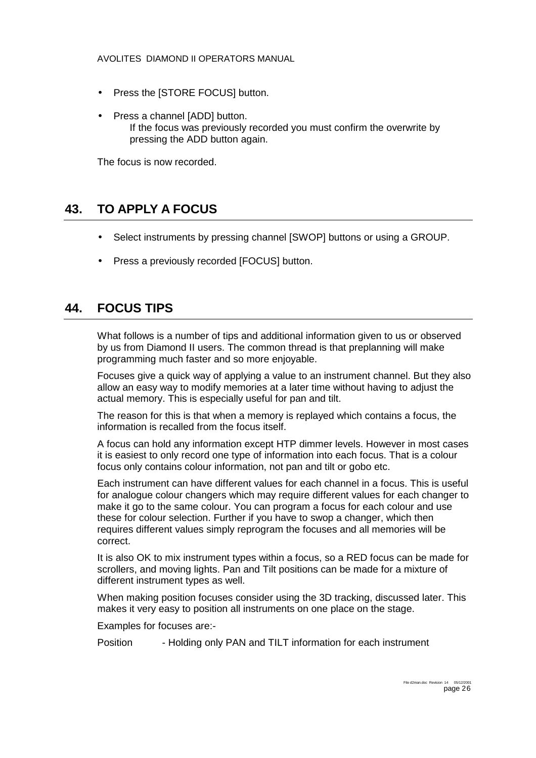- <span id="page-25-0"></span>• Press the [STORE FOCUS] button.
- Press a channel [ADD] button. If the focus was previously recorded you must confirm the overwrite by pressing the ADD button again.

The focus is now recorded.

### **43. TO APPLY A FOCUS**

- Select instruments by pressing channel [SWOP] buttons or using a GROUP.
- Press a previously recorded [FOCUS] button.

### **44. FOCUS TIPS**

What follows is a number of tips and additional information given to us or observed by us from Diamond II users. The common thread is that preplanning will make programming much faster and so more enjoyable.

Focuses give a quick way of applying a value to an instrument channel. But they also allow an easy way to modify memories at a later time without having to adjust the actual memory. This is especially useful for pan and tilt.

The reason for this is that when a memory is replayed which contains a focus, the information is recalled from the focus itself.

A focus can hold any information except HTP dimmer levels. However in most cases it is easiest to only record one type of information into each focus. That is a colour focus only contains colour information, not pan and tilt or gobo etc.

Each instrument can have different values for each channel in a focus. This is useful for analogue colour changers which may require different values for each changer to make it go to the same colour. You can program a focus for each colour and use these for colour selection. Further if you have to swop a changer, which then requires different values simply reprogram the focuses and all memories will be correct.

It is also OK to mix instrument types within a focus, so a RED focus can be made for scrollers, and moving lights. Pan and Tilt positions can be made for a mixture of different instrument types as well.

When making position focuses consider using the 3D tracking, discussed later. This makes it very easy to position all instruments on one place on the stage.

Examples for focuses are:-

Position - Holding only PAN and TILT information for each instrument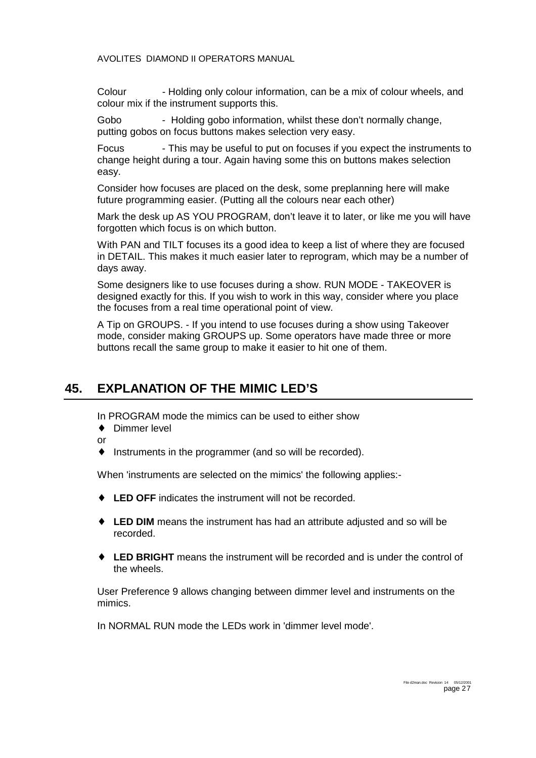<span id="page-26-0"></span>Colour - Holding only colour information, can be a mix of colour wheels, and colour mix if the instrument supports this.

Gobo - Holding gobo information, whilst these don't normally change, putting gobos on focus buttons makes selection very easy.

Focus - This may be useful to put on focuses if you expect the instruments to change height during a tour. Again having some this on buttons makes selection easy.

Consider how focuses are placed on the desk, some preplanning here will make future programming easier. (Putting all the colours near each other)

Mark the desk up AS YOU PROGRAM, don't leave it to later, or like me you will have forgotten which focus is on which button.

With PAN and TILT focuses its a good idea to keep a list of where they are focused in DETAIL. This makes it much easier later to reprogram, which may be a number of days away.

Some designers like to use focuses during a show. RUN MODE - TAKEOVER is designed exactly for this. If you wish to work in this way, consider where you place the focuses from a real time operational point of view.

A Tip on GROUPS. - If you intend to use focuses during a show using Takeover mode, consider making GROUPS up. Some operators have made three or more buttons recall the same group to make it easier to hit one of them.

### **45. EXPLANATION OF THE MIMIC LED'S**

In PROGRAM mode the mimics can be used to either show

- ♦ Dimmer level
- or
- ♦ Instruments in the programmer (and so will be recorded).

When 'instruments are selected on the mimics' the following applies:-

- ♦ **LED OFF** indicates the instrument will not be recorded.
- ♦ **LED DIM** means the instrument has had an attribute adjusted and so will be recorded.
- ♦ **LED BRIGHT** means the instrument will be recorded and is under the control of the wheels.

User Preference 9 allows changing between dimmer level and instruments on the mimics.

In NORMAL RUN mode the LEDs work in 'dimmer level mode'.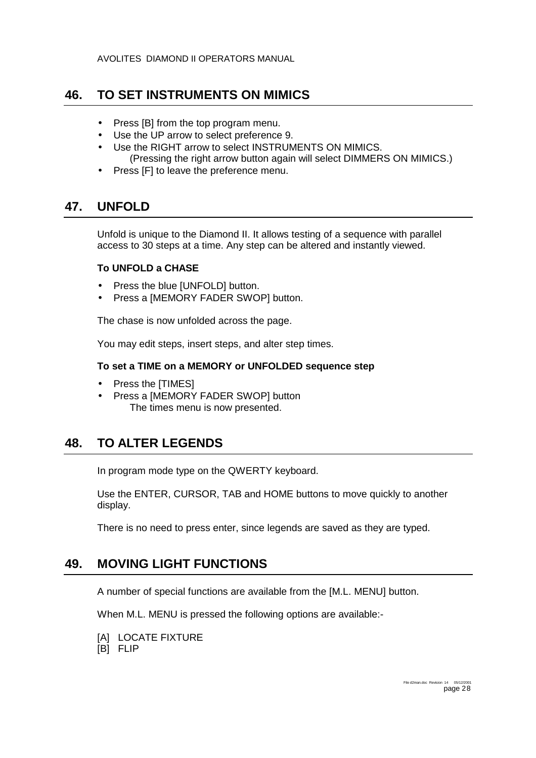### <span id="page-27-0"></span>**46. TO SET INSTRUMENTS ON MIMICS**

- Press [B] from the top program menu.
- Use the UP arrow to select preference 9.
- Use the RIGHT arrow to select INSTRUMENTS ON MIMICS. (Pressing the right arrow button again will select DIMMERS ON MIMICS.)
- Press [F] to leave the preference menu.

### **47. UNFOLD**

Unfold is unique to the Diamond II. It allows testing of a sequence with parallel access to 30 steps at a time. Any step can be altered and instantly viewed.

#### **To UNFOLD a CHASE**

- Press the blue [UNFOLD] button.
- Press a [MEMORY FADER SWOP] button.

The chase is now unfolded across the page.

You may edit steps, insert steps, and alter step times.

#### **To set a TIME on a MEMORY or UNFOLDED sequence step**

- Press the [TIMES]
- Press a [MEMORY FADER SWOP] button The times menu is now presented.

### **48. TO ALTER LEGENDS**

In program mode type on the QWERTY keyboard.

Use the ENTER, CURSOR, TAB and HOME buttons to move quickly to another display.

There is no need to press enter, since legends are saved as they are typed.

### **49. MOVING LIGHT FUNCTIONS**

A number of special functions are available from the [M.L. MENU] button.

When M.L. MENU is pressed the following options are available:-

- [A] LOCATE FIXTURE
- [B] FLIP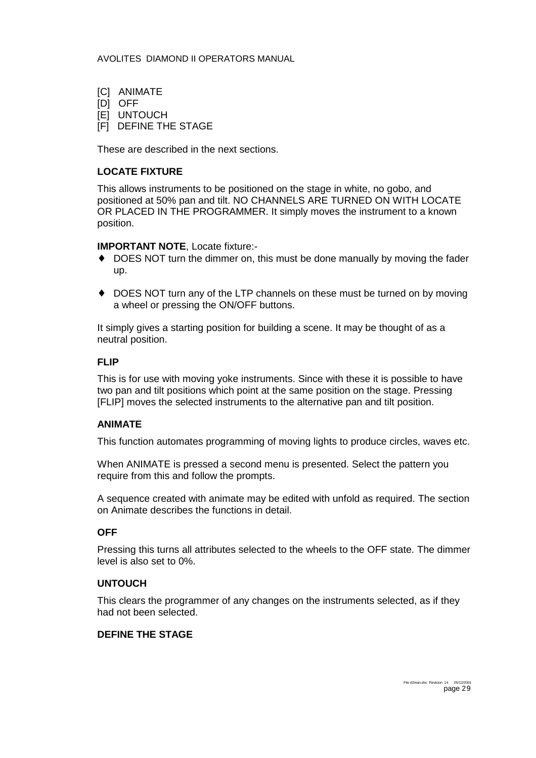- [C] ANIMATE
- [D] OFF
- **EL UNTOUCH**
- [F] DEFINE THE STAGE

These are described in the next sections.

#### **LOCATE FIXTURE**

This allows instruments to be positioned on the stage in white, no gobo, and positioned at 50% pan and tilt. NO CHANNELS ARE TURNED ON WITH LOCATE OR PLACED IN THE PROGRAMMER. It simply moves the instrument to a known position.

#### **IMPORTANT NOTE**, Locate fixture:-

- ♦ DOES NOT turn the dimmer on, this must be done manually by moving the fader up.
- ♦ DOES NOT turn any of the LTP channels on these must be turned on by moving a wheel or pressing the ON/OFF buttons.

It simply gives a starting position for building a scene. It may be thought of as a neutral position.

#### **FLIP**

This is for use with moving yoke instruments. Since with these it is possible to have two pan and tilt positions which point at the same position on the stage. Pressing [FLIP] moves the selected instruments to the alternative pan and tilt position.

#### **ANIMATE**

This function automates programming of moving lights to produce circles, waves etc.

When ANIMATE is pressed a second menu is presented. Select the pattern you require from this and follow the prompts.

A sequence created with animate may be edited with unfold as required. The section on Animate describes the functions in detail.

#### **OFF**

Pressing this turns all attributes selected to the wheels to the OFF state. The dimmer level is also set to 0%.

#### **UNTOUCH**

This clears the programmer of any changes on the instruments selected, as if they had not been selected.

#### **DEFINE THE STAGE**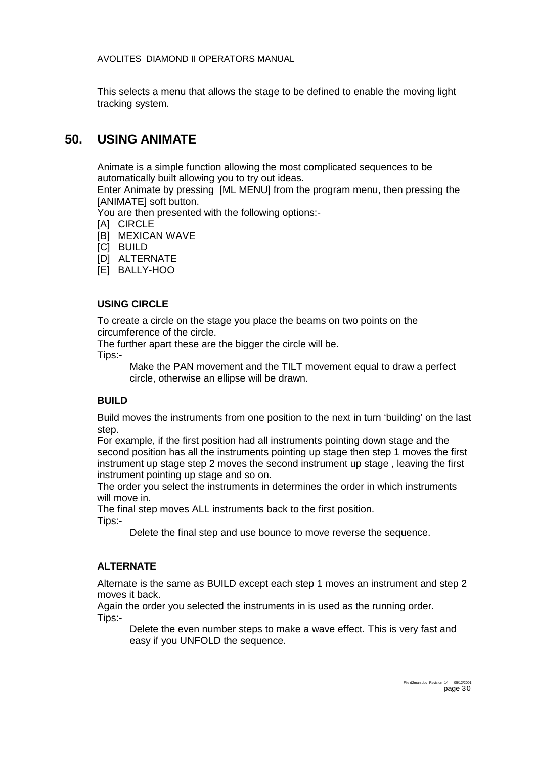<span id="page-29-0"></span>This selects a menu that allows the stage to be defined to enable the moving light tracking system.

### **50. USING ANIMATE**

Animate is a simple function allowing the most complicated sequences to be automatically built allowing you to try out ideas.

Enter Animate by pressing [ML MENU] from the program menu, then pressing the [ANIMATE] soft button.

You are then presented with the following options:-

- [A] CIRCLE
- [B] MEXICAN WAVE
- **ICI BUILD**
- [D] ALTERNATE
- [E] BALLY-HOO

#### **USING CIRCLE**

To create a circle on the stage you place the beams on two points on the circumference of the circle.

The further apart these are the bigger the circle will be.

Tips:-

Make the PAN movement and the TILT movement equal to draw a perfect circle, otherwise an ellipse will be drawn.

#### **BUILD**

Build moves the instruments from one position to the next in turn 'building' on the last step.

For example, if the first position had all instruments pointing down stage and the second position has all the instruments pointing up stage then step 1 moves the first instrument up stage step 2 moves the second instrument up stage , leaving the first instrument pointing up stage and so on.

The order you select the instruments in determines the order in which instruments will move in.

The final step moves ALL instruments back to the first position. Tips:-

Delete the final step and use bounce to move reverse the sequence.

#### **ALTERNATE**

Alternate is the same as BUILD except each step 1 moves an instrument and step 2 moves it back.

Again the order you selected the instruments in is used as the running order. Tips:-

Delete the even number steps to make a wave effect. This is very fast and easy if you UNFOLD the sequence.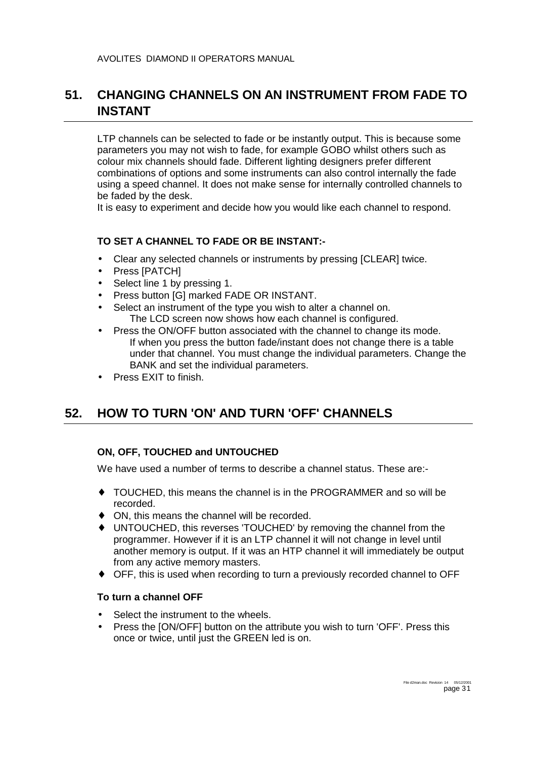### <span id="page-30-0"></span>**51. CHANGING CHANNELS ON AN INSTRUMENT FROM FADE TO INSTANT**

LTP channels can be selected to fade or be instantly output. This is because some parameters you may not wish to fade, for example GOBO whilst others such as colour mix channels should fade. Different lighting designers prefer different combinations of options and some instruments can also control internally the fade using a speed channel. It does not make sense for internally controlled channels to be faded by the desk.

It is easy to experiment and decide how you would like each channel to respond.

#### **TO SET A CHANNEL TO FADE OR BE INSTANT:-**

- Clear any selected channels or instruments by pressing [CLEAR] twice.
- Press [PATCH]
- Select line 1 by pressing 1.
- Press button [G] marked FADE OR INSTANT.
- Select an instrument of the type you wish to alter a channel on. The LCD screen now shows how each channel is configured.
- Press the ON/OFF button associated with the channel to change its mode. If when you press the button fade/instant does not change there is a table under that channel. You must change the individual parameters. Change the BANK and set the individual parameters.
- Press EXIT to finish.

# **52. HOW TO TURN 'ON' AND TURN 'OFF' CHANNELS**

### **ON, OFF, TOUCHED and UNTOUCHED**

We have used a number of terms to describe a channel status. These are:-

- ♦ TOUCHED, this means the channel is in the PROGRAMMER and so will be recorded.
- ♦ ON, this means the channel will be recorded.
- ♦ UNTOUCHED, this reverses 'TOUCHED' by removing the channel from the programmer. However if it is an LTP channel it will not change in level until another memory is output. If it was an HTP channel it will immediately be output from any active memory masters.
- ♦ OFF, this is used when recording to turn a previously recorded channel to OFF

#### **To turn a channel OFF**

- Select the instrument to the wheels.
- Press the [ON/OFF] button on the attribute you wish to turn 'OFF'. Press this once or twice, until just the GREEN led is on.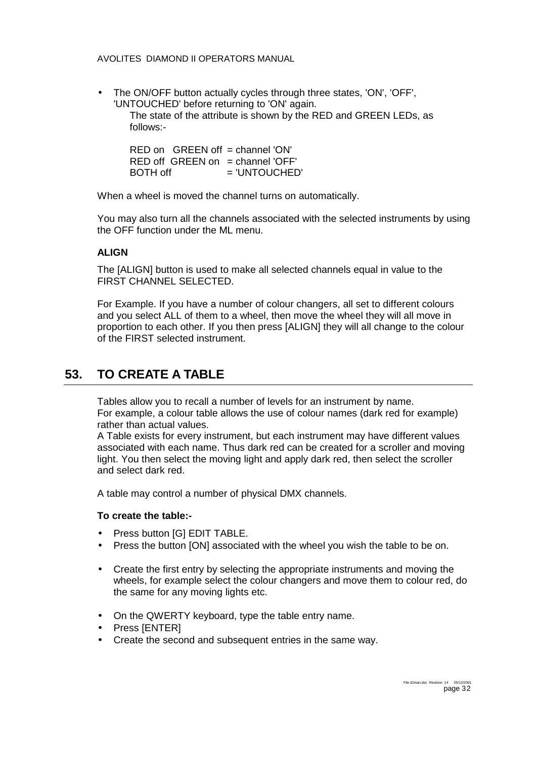<span id="page-31-0"></span>• The ON/OFF button actually cycles through three states, 'ON', 'OFF', 'UNTOUCHED' before returning to 'ON' again. The state of the attribute is shown by the RED and GREEN LEDs, as follows:-

 $RFD$  on  $GREFEN$  off  $=$  channel 'ON'  $RED$  off GREEN on = channel 'OFF'  $BOTH$  off  $= 'UNTOUCHED'$ 

When a wheel is moved the channel turns on automatically.

You may also turn all the channels associated with the selected instruments by using the OFF function under the ML menu.

#### **ALIGN**

The [ALIGN] button is used to make all selected channels equal in value to the FIRST CHANNEL SELECTED.

For Example. If you have a number of colour changers, all set to different colours and you select ALL of them to a wheel, then move the wheel they will all move in proportion to each other. If you then press [ALIGN] they will all change to the colour of the FIRST selected instrument.

### **53. TO CREATE A TABLE**

Tables allow you to recall a number of levels for an instrument by name. For example, a colour table allows the use of colour names (dark red for example) rather than actual values.

A Table exists for every instrument, but each instrument may have different values associated with each name. Thus dark red can be created for a scroller and moving light. You then select the moving light and apply dark red, then select the scroller and select dark red.

A table may control a number of physical DMX channels.

#### **To create the table:-**

- Press button [G] EDIT TABLE.
- Press the button [ON] associated with the wheel you wish the table to be on.
- Create the first entry by selecting the appropriate instruments and moving the wheels, for example select the colour changers and move them to colour red, do the same for any moving lights etc.
- On the QWERTY keyboard, type the table entry name.
- Press [ENTER]
- Create the second and subsequent entries in the same way.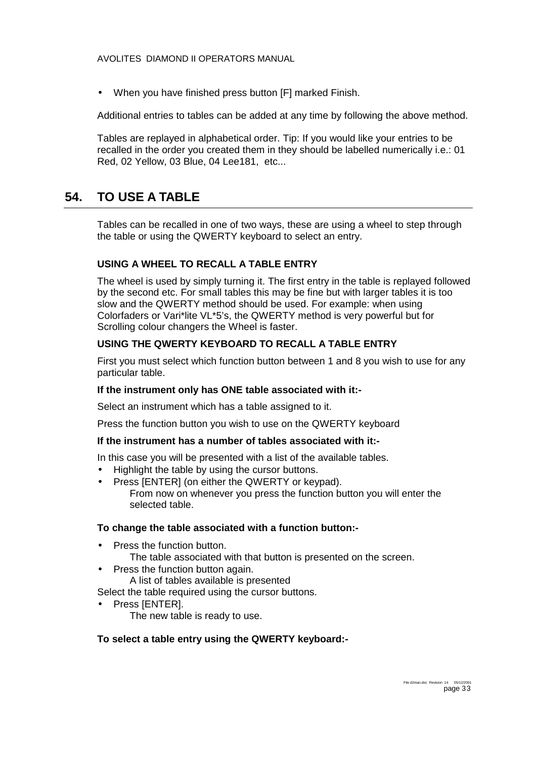<span id="page-32-0"></span>• When you have finished press button [F] marked Finish.

Additional entries to tables can be added at any time by following the above method.

Tables are replayed in alphabetical order. Tip: If you would like your entries to be recalled in the order you created them in they should be labelled numerically i.e.: 01 Red, 02 Yellow, 03 Blue, 04 Lee181, etc...

### **54. TO USE A TABLE**

Tables can be recalled in one of two ways, these are using a wheel to step through the table or using the QWERTY keyboard to select an entry.

#### **USING A WHEEL TO RECALL A TABLE ENTRY**

The wheel is used by simply turning it. The first entry in the table is replayed followed by the second etc. For small tables this may be fine but with larger tables it is too slow and the QWERTY method should be used. For example: when using Colorfaders or Vari\*lite VL\*5's, the QWERTY method is very powerful but for Scrolling colour changers the Wheel is faster.

#### **USING THE QWERTY KEYBOARD TO RECALL A TABLE ENTRY**

First you must select which function button between 1 and 8 you wish to use for any particular table.

#### **If the instrument only has ONE table associated with it:-**

Select an instrument which has a table assigned to it.

Press the function button you wish to use on the QWERTY keyboard

#### **If the instrument has a number of tables associated with it:-**

In this case you will be presented with a list of the available tables.

- Highlight the table by using the cursor buttons.
- Press [ENTER] (on either the QWERTY or keypad). From now on whenever you press the function button you will enter the selected table.

#### **To change the table associated with a function button:-**

- Press the function button.
	- The table associated with that button is presented on the screen.
- Press the function button again.
	- A list of tables available is presented

Select the table required using the cursor buttons.

Press [ENTER]. The new table is ready to use.

#### **To select a table entry using the QWERTY keyboard:-**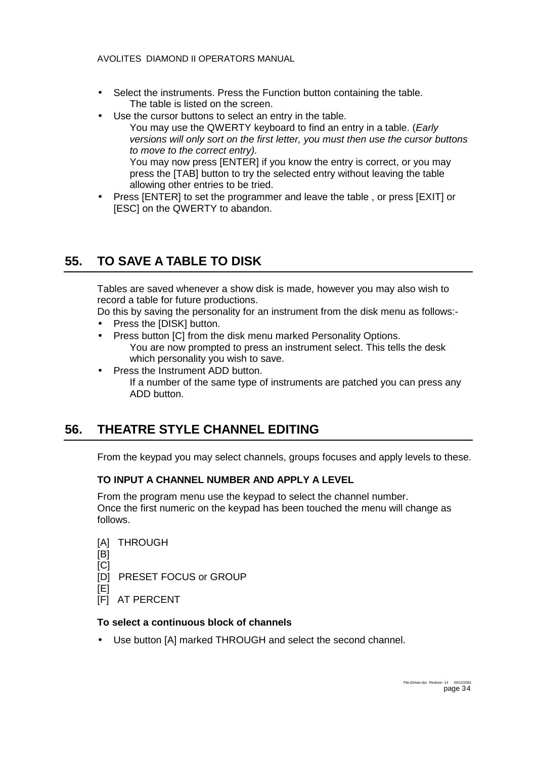- <span id="page-33-0"></span>• Select the instruments. Press the Function button containing the table. The table is listed on the screen.
- Use the cursor buttons to select an entry in the table.
	- You may use the QWERTY keyboard to find an entry in a table. (*Early versions will only sort on the first letter, you must then use the cursor buttons to move to the correct entry).*  You may now press [ENTER] if you know the entry is correct, or you may press the [TAB] button to try the selected entry without leaving the table allowing other entries to be tried.
- Press [ENTER] to set the programmer and leave the table , or press [EXIT] or [ESC] on the QWERTY to abandon.

### **55. TO SAVE A TABLE TO DISK**

Tables are saved whenever a show disk is made, however you may also wish to record a table for future productions.

Do this by saving the personality for an instrument from the disk menu as follows:-

- Press the [DISK] button.
- Press button [C] from the disk menu marked Personality Options. You are now prompted to press an instrument select. This tells the desk which personality you wish to save.
- Press the Instrument ADD button.

If a number of the same type of instruments are patched you can press any ADD button.

# **56. THEATRE STYLE CHANNEL EDITING**

From the keypad you may select channels, groups focuses and apply levels to these.

### **TO INPUT A CHANNEL NUMBER AND APPLY A LEVEL**

From the program menu use the keypad to select the channel number. Once the first numeric on the keypad has been touched the menu will change as follows.

- [A] THROUGH [B] [C]
- [D] PRESET FOCUS or GROUP
- [E]
- [F] AT PERCENT

#### **To select a continuous block of channels**

Use button [A] marked THROUGH and select the second channel.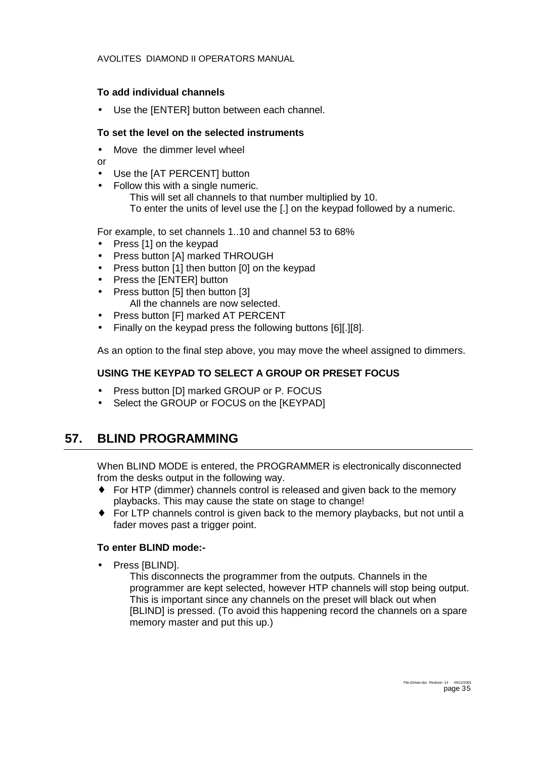#### <span id="page-34-0"></span>**To add individual channels**

Use the [ENTER] button between each channel.

#### **To set the level on the selected instruments**

Move the dimmer level wheel

or

- Use the [AT PERCENT] button
- Follow this with a single numeric. This will set all channels to that number multiplied by 10. To enter the units of level use the [.] on the keypad followed by a numeric.

For example, to set channels 1..10 and channel 53 to 68%

- Press [1] on the keypad
- Press button [A] marked THROUGH
- Press button [1] then button [0] on the keypad
- Press the [ENTER] button
- Press button [5] then button [3] All the channels are now selected.
- Press button [F] marked AT PERCENT
- Finally on the keypad press the following buttons [6][.][8].

As an option to the final step above, you may move the wheel assigned to dimmers.

#### **USING THE KEYPAD TO SELECT A GROUP OR PRESET FOCUS**

- Press button [D] marked GROUP or P. FOCUS
- Select the GROUP or FOCUS on the [KEYPAD]

### **57. BLIND PROGRAMMING**

When BLIND MODE is entered, the PROGRAMMER is electronically disconnected from the desks output in the following way.

- ♦ For HTP (dimmer) channels control is released and given back to the memory playbacks. This may cause the state on stage to change!
- ♦ For LTP channels control is given back to the memory playbacks, but not until a fader moves past a trigger point.

#### **To enter BLIND mode:-**

Press [BLIND].

This disconnects the programmer from the outputs. Channels in the programmer are kept selected, however HTP channels will stop being output. This is important since any channels on the preset will black out when [BLIND] is pressed. (To avoid this happening record the channels on a spare memory master and put this up.)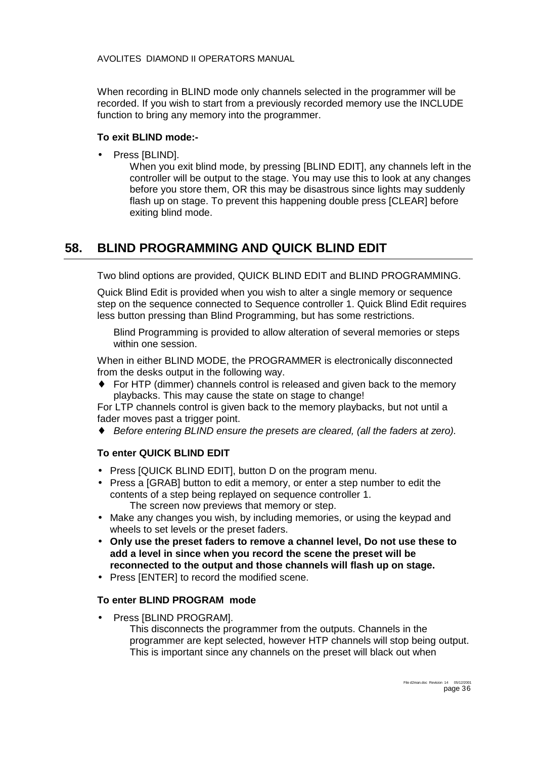<span id="page-35-0"></span>When recording in BLIND mode only channels selected in the programmer will be recorded. If you wish to start from a previously recorded memory use the INCLUDE function to bring any memory into the programmer.

#### **To exit BLIND mode:-**

Press [BLIND].

When you exit blind mode, by pressing [BLIND EDIT], any channels left in the controller will be output to the stage. You may use this to look at any changes before you store them, OR this may be disastrous since lights may suddenly flash up on stage. To prevent this happening double press [CLEAR] before exiting blind mode.

# **58. BLIND PROGRAMMING AND QUICK BLIND EDIT**

Two blind options are provided, QUICK BLIND EDIT and BLIND PROGRAMMING.

Quick Blind Edit is provided when you wish to alter a single memory or sequence step on the sequence connected to Sequence controller 1. Quick Blind Edit requires less button pressing than Blind Programming, but has some restrictions.

Blind Programming is provided to allow alteration of several memories or steps within one session.

When in either BLIND MODE, the PROGRAMMER is electronically disconnected from the desks output in the following way.

♦ For HTP (dimmer) channels control is released and given back to the memory playbacks. This may cause the state on stage to change!

For LTP channels control is given back to the memory playbacks, but not until a fader moves past a trigger point.

♦ *Before entering BLIND ensure the presets are cleared, (all the faders at zero).*

### **To enter QUICK BLIND EDIT**

- Press [QUICK BLIND EDIT], button D on the program menu.
- Press a [GRAB] button to edit a memory, or enter a step number to edit the contents of a step being replayed on sequence controller 1.
	- The screen now previews that memory or step.
- Make any changes you wish, by including memories, or using the keypad and wheels to set levels or the preset faders.
- **Only use the preset faders to remove a channel level, Do not use these to add a level in since when you record the scene the preset will be reconnected to the output and those channels will flash up on stage.**
- Press [ENTER] to record the modified scene.

#### **To enter BLIND PROGRAM mode**

• Press [BLIND PROGRAM].

This disconnects the programmer from the outputs. Channels in the programmer are kept selected, however HTP channels will stop being output. This is important since any channels on the preset will black out when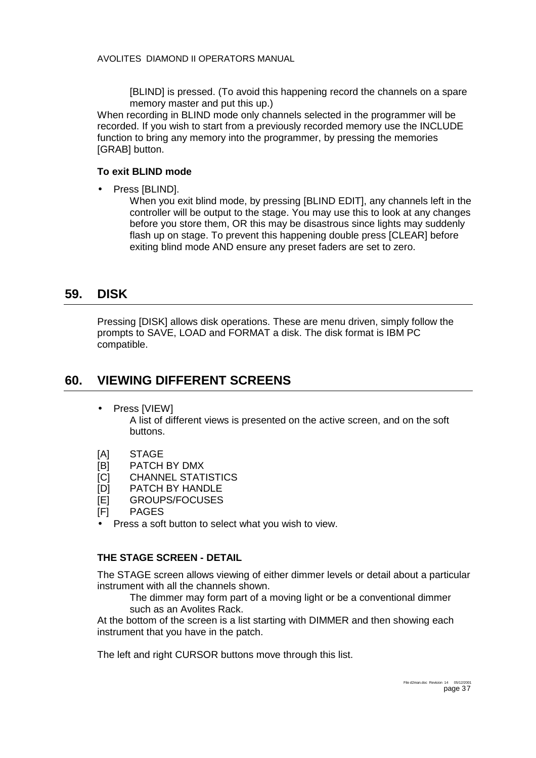[BLIND] is pressed. (To avoid this happening record the channels on a spare memory master and put this up.)

<span id="page-36-0"></span>When recording in BLIND mode only channels selected in the programmer will be recorded. If you wish to start from a previously recorded memory use the INCLUDE function to bring any memory into the programmer, by pressing the memories [GRAB] button.

#### **To exit BLIND mode**

Press [BLIND].

When you exit blind mode, by pressing [BLIND EDIT], any channels left in the controller will be output to the stage. You may use this to look at any changes before you store them, OR this may be disastrous since lights may suddenly flash up on stage. To prevent this happening double press [CLEAR] before exiting blind mode AND ensure any preset faders are set to zero.

### **59. DISK**

Pressing [DISK] allows disk operations. These are menu driven, simply follow the prompts to SAVE, LOAD and FORMAT a disk. The disk format is IBM PC compatible.

### **60. VIEWING DIFFERENT SCREENS**

• Press [VIEW]

A list of different views is presented on the active screen, and on the soft buttons.

- [A] STAGE
- [B] PATCH BY DMX
- [C] CHANNEL STATISTICS
- [D] PATCH BY HANDLE
- [E] GROUPS/FOCUSES
- [F] PAGES
- Press a soft button to select what you wish to view.

#### **THE STAGE SCREEN - DETAIL**

The STAGE screen allows viewing of either dimmer levels or detail about a particular instrument with all the channels shown.

The dimmer may form part of a moving light or be a conventional dimmer such as an Avolites Rack.

At the bottom of the screen is a list starting with DIMMER and then showing each instrument that you have in the patch.

The left and right CURSOR buttons move through this list.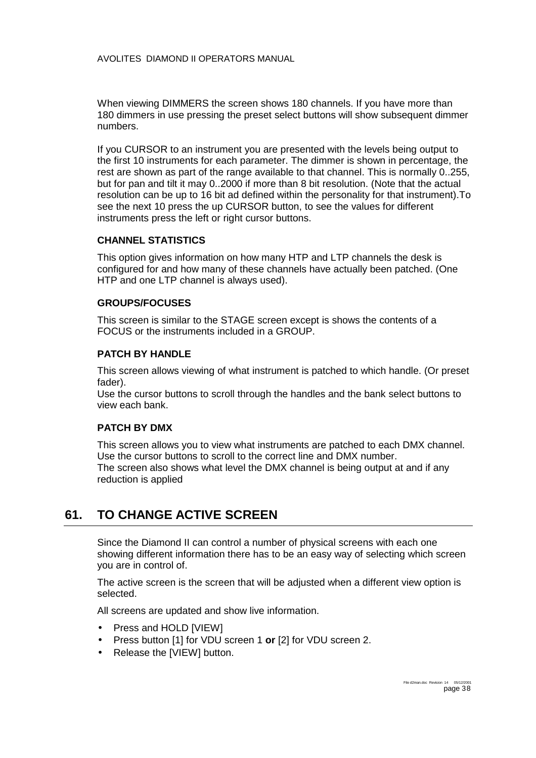<span id="page-37-0"></span>When viewing DIMMERS the screen shows 180 channels. If you have more than 180 dimmers in use pressing the preset select buttons will show subsequent dimmer numbers.

If you CURSOR to an instrument you are presented with the levels being output to the first 10 instruments for each parameter. The dimmer is shown in percentage, the rest are shown as part of the range available to that channel. This is normally 0..255, but for pan and tilt it may 0..2000 if more than 8 bit resolution. (Note that the actual resolution can be up to 16 bit ad defined within the personality for that instrument).To see the next 10 press the up CURSOR button, to see the values for different instruments press the left or right cursor buttons.

#### **CHANNEL STATISTICS**

This option gives information on how many HTP and LTP channels the desk is configured for and how many of these channels have actually been patched. (One HTP and one LTP channel is always used).

#### **GROUPS/FOCUSES**

This screen is similar to the STAGE screen except is shows the contents of a FOCUS or the instruments included in a GROUP.

#### **PATCH BY HANDLE**

This screen allows viewing of what instrument is patched to which handle. (Or preset fader).

Use the cursor buttons to scroll through the handles and the bank select buttons to view each bank.

#### **PATCH BY DMX**

This screen allows you to view what instruments are patched to each DMX channel. Use the cursor buttons to scroll to the correct line and DMX number. The screen also shows what level the DMX channel is being output at and if any reduction is applied

### **61. TO CHANGE ACTIVE SCREEN**

Since the Diamond II can control a number of physical screens with each one showing different information there has to be an easy way of selecting which screen you are in control of.

The active screen is the screen that will be adjusted when a different view option is selected.

All screens are updated and show live information.

- Press and HOLD [VIEW]
- Press button [1] for VDU screen 1 **or** [2] for VDU screen 2.
- Release the [VIEW] button.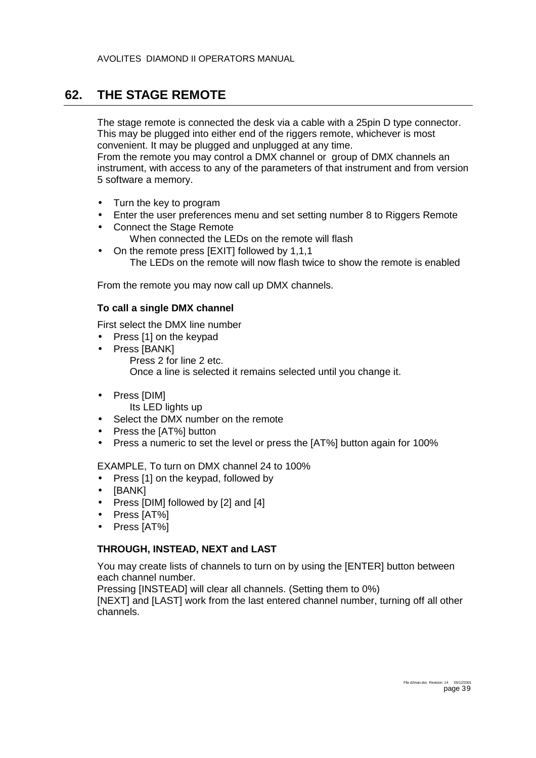### <span id="page-38-0"></span>**62. THE STAGE REMOTE**

The stage remote is connected the desk via a cable with a 25pin D type connector. This may be plugged into either end of the riggers remote, whichever is most convenient. It may be plugged and unplugged at any time.

From the remote you may control a DMX channel or group of DMX channels an instrument, with access to any of the parameters of that instrument and from version 5 software a memory.

- Turn the key to program
- Enter the user preferences menu and set setting number 8 to Riggers Remote
- Connect the Stage Remote When connected the LEDs on the remote will flash
- On the remote press [EXIT] followed by 1,1,1 The LEDs on the remote will now flash twice to show the remote is enabled

From the remote you may now call up DMX channels.

### **To call a single DMX channel**

First select the DMX line number

- Press [1] on the keypad
- Press [BANK] Press 2 for line 2 etc. Once a line is selected it remains selected until you change it.
- Press [DIM]
	- Its LED lights up
- Select the DMX number on the remote
- Press the [AT%] button
- Press a numeric to set the level or press the [AT%] button again for 100%

EXAMPLE, To turn on DMX channel 24 to 100%

- Press [1] on the keypad, followed by
- [BANK]
- Press [DIM] followed by [2] and [4]
- Press [AT%]
- Press [AT%]

### **THROUGH, INSTEAD, NEXT and LAST**

You may create lists of channels to turn on by using the [ENTER] button between each channel number.

Pressing [INSTEAD] will clear all channels. (Setting them to 0%)

[NEXT] and [LAST] work from the last entered channel number, turning off all other channels.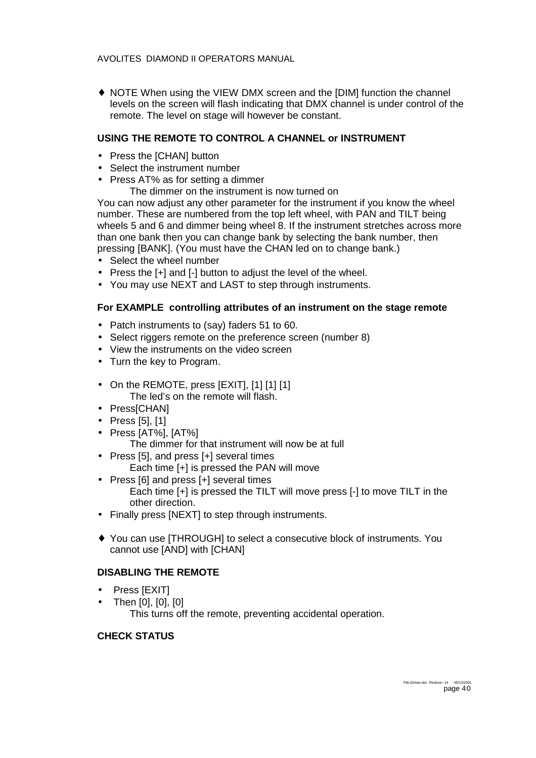♦ NOTE When using the VIEW DMX screen and the [DIM] function the channel levels on the screen will flash indicating that DMX channel is under control of the remote. The level on stage will however be constant.

#### **USING THE REMOTE TO CONTROL A CHANNEL or INSTRUMENT**

- Press the [CHAN] button
- Select the instrument number
- Press AT% as for setting a dimmer
	- The dimmer on the instrument is now turned on

You can now adjust any other parameter for the instrument if you know the wheel number. These are numbered from the top left wheel, with PAN and TILT being wheels 5 and 6 and dimmer being wheel 8. If the instrument stretches across more than one bank then you can change bank by selecting the bank number, then pressing [BANK]. (You must have the CHAN led on to change bank.)

- Select the wheel number
- Press the [+] and [-] button to adjust the level of the wheel.
- You may use NEXT and LAST to step through instruments.

#### **For EXAMPLE controlling attributes of an instrument on the stage remote**

- Patch instruments to (say) faders 51 to 60.
- Select riggers remote on the preference screen (number 8)
- View the instruments on the video screen
- Turn the key to Program.
- On the REMOTE, press [EXIT], [1] [1] [1] The led's on the remote will flash.
- Press[CHAN]
- Press [5], [1]
- Press [AT%], [AT%]
	- The dimmer for that instrument will now be at full
- Press [5], and press [+] several times
	- Each time [+] is pressed the PAN will move
- Press [6] and press [+] several times Each time [+] is pressed the TILT will move press [-] to move TILT in the other direction.
- Finally press [NEXT] to step through instruments.
- ♦ You can use [THROUGH] to select a consecutive block of instruments. You cannot use [AND] with [CHAN]

### **DISABLING THE REMOTE**

- Press [EXIT]
- Then [0], [0], [0] This turns off the remote, preventing accidental operation.

#### **CHECK STATUS**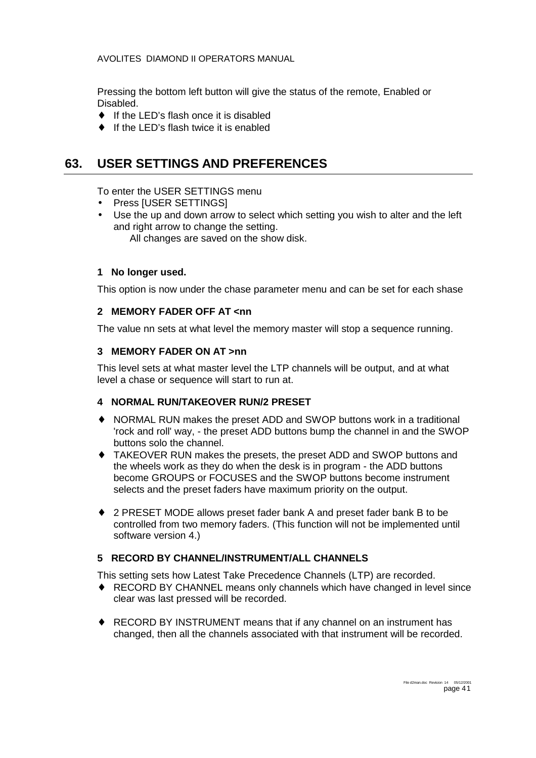<span id="page-40-0"></span>Pressing the bottom left button will give the status of the remote, Enabled or Disabled.

- ♦ If the LED's flash once it is disabled
- ♦ If the LED's flash twice it is enabled

### **63. USER SETTINGS AND PREFERENCES**

To enter the USER SETTINGS menu

- Press [USER SETTINGS]
- Use the up and down arrow to select which setting you wish to alter and the left and right arrow to change the setting. All changes are saved on the show disk.

#### **1 No longer used.**

This option is now under the chase parameter menu and can be set for each shase

#### **2 MEMORY FADER OFF AT <nn**

The value nn sets at what level the memory master will stop a sequence running.

#### **3 MEMORY FADER ON AT >nn**

This level sets at what master level the LTP channels will be output, and at what level a chase or sequence will start to run at.

#### **4 NORMAL RUN/TAKEOVER RUN/2 PRESET**

- ♦ NORMAL RUN makes the preset ADD and SWOP buttons work in a traditional 'rock and roll' way, - the preset ADD buttons bump the channel in and the SWOP buttons solo the channel.
- ♦ TAKEOVER RUN makes the presets, the preset ADD and SWOP buttons and the wheels work as they do when the desk is in program - the ADD buttons become GROUPS or FOCUSES and the SWOP buttons become instrument selects and the preset faders have maximum priority on the output.
- ♦ 2 PRESET MODE allows preset fader bank A and preset fader bank B to be controlled from two memory faders. (This function will not be implemented until software version 4.)

#### **5 RECORD BY CHANNEL/INSTRUMENT/ALL CHANNELS**

This setting sets how Latest Take Precedence Channels (LTP) are recorded.

- ♦ RECORD BY CHANNEL means only channels which have changed in level since clear was last pressed will be recorded.
- ♦ RECORD BY INSTRUMENT means that if any channel on an instrument has changed, then all the channels associated with that instrument will be recorded.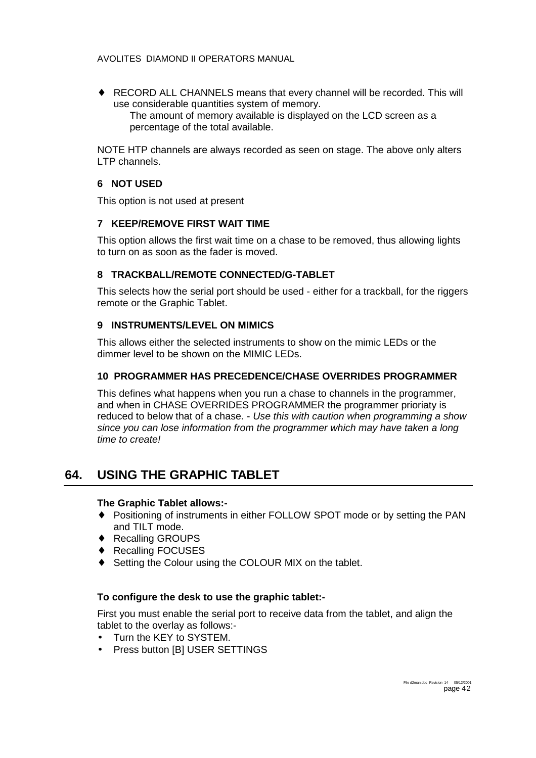<span id="page-41-0"></span>♦ RECORD ALL CHANNELS means that every channel will be recorded. This will use considerable quantities system of memory. The amount of memory available is displayed on the LCD screen as a percentage of the total available.

NOTE HTP channels are always recorded as seen on stage. The above only alters LTP channels.

#### **6 NOT USED**

This option is not used at present

#### **7 KEEP/REMOVE FIRST WAIT TIME**

This option allows the first wait time on a chase to be removed, thus allowing lights to turn on as soon as the fader is moved.

#### **8 TRACKBALL/REMOTE CONNECTED/G-TABLET**

This selects how the serial port should be used - either for a trackball, for the riggers remote or the Graphic Tablet.

#### **9 INSTRUMENTS/LEVEL ON MIMICS**

This allows either the selected instruments to show on the mimic LEDs or the dimmer level to be shown on the MIMIC LEDs.

#### **10 PROGRAMMER HAS PRECEDENCE/CHASE OVERRIDES PROGRAMMER**

This defines what happens when you run a chase to channels in the programmer, and when in CHASE OVERRIDES PROGRAMMER the programmer prioriaty is reduced to below that of a chase. - *Use this with caution when programming a show since you can lose information from the programmer which may have taken a long time to create!* 

### **64. USING THE GRAPHIC TABLET**

#### **The Graphic Tablet allows:-**

- ♦ Positioning of instruments in either FOLLOW SPOT mode or by setting the PAN and TILT mode.
- ♦ Recalling GROUPS
- ♦ Recalling FOCUSES
- Setting the Colour using the COLOUR MIX on the tablet.

#### **To configure the desk to use the graphic tablet:-**

First you must enable the serial port to receive data from the tablet, and align the tablet to the overlay as follows:-

- Turn the KEY to SYSTEM.
- Press button [B] USER SETTINGS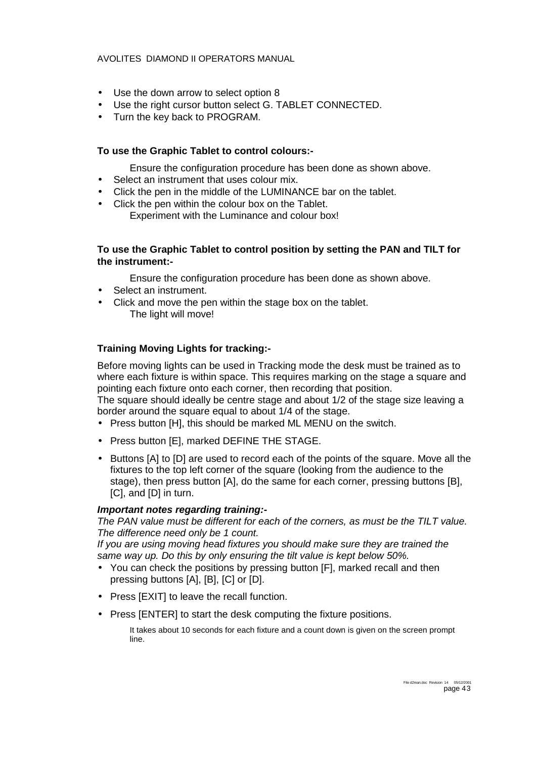- Use the down arrow to select option 8
- Use the right cursor button select G. TABLET CONNECTED.
- Turn the key back to PROGRAM.

#### **To use the Graphic Tablet to control colours:-**

Ensure the configuration procedure has been done as shown above.

- Select an instrument that uses colour mix.
- Click the pen in the middle of the LUMINANCE bar on the tablet.
- Click the pen within the colour box on the Tablet. Experiment with the Luminance and colour box!

#### **To use the Graphic Tablet to control position by setting the PAN and TILT for the instrument:-**

Ensure the configuration procedure has been done as shown above.

- Select an instrument.
- Click and move the pen within the stage box on the tablet. The light will move!

#### **Training Moving Lights for tracking:-**

Before moving lights can be used in Tracking mode the desk must be trained as to where each fixture is within space. This requires marking on the stage a square and pointing each fixture onto each corner, then recording that position.

The square should ideally be centre stage and about 1/2 of the stage size leaving a border around the square equal to about 1/4 of the stage.

- Press button [H], this should be marked ML MENU on the switch.
- Press button [E], marked DEFINE THE STAGE.
- Buttons [A] to [D] are used to record each of the points of the square. Move all the fixtures to the top left corner of the square (looking from the audience to the stage), then press button [A], do the same for each corner, pressing buttons [B], [C], and [D] in turn.

#### *Important notes regarding training:-*

*The PAN value must be different for each of the corners, as must be the TILT value. The difference need only be 1 count.* 

*If you are using moving head fixtures you should make sure they are trained the same way up. Do this by only ensuring the tilt value is kept below 50%.* 

- You can check the positions by pressing button [F], marked recall and then pressing buttons [A], [B], [C] or [D].
- Press [EXIT] to leave the recall function.
- Press [ENTER] to start the desk computing the fixture positions.

It takes about 10 seconds for each fixture and a count down is given on the screen prompt line.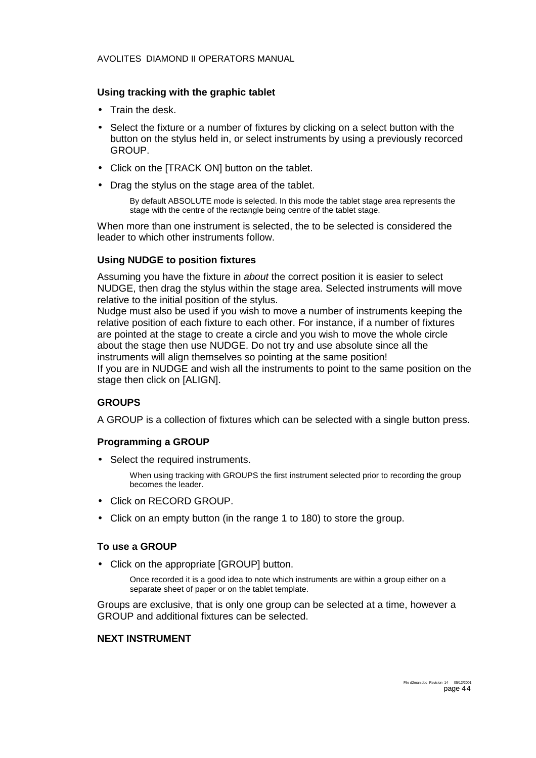#### **Using tracking with the graphic tablet**

- Train the desk.
- Select the fixture or a number of fixtures by clicking on a select button with the button on the stylus held in, or select instruments by using a previously recorced GROUP.
- Click on the [TRACK ON] button on the tablet.
- Drag the stylus on the stage area of the tablet.

By default ABSOLUTE mode is selected. In this mode the tablet stage area represents the stage with the centre of the rectangle being centre of the tablet stage.

When more than one instrument is selected, the to be selected is considered the leader to which other instruments follow.

#### **Using NUDGE to position fixtures**

Assuming you have the fixture in *about* the correct position it is easier to select NUDGE, then drag the stylus within the stage area. Selected instruments will move relative to the initial position of the stylus.

Nudge must also be used if you wish to move a number of instruments keeping the relative position of each fixture to each other. For instance, if a number of fixtures are pointed at the stage to create a circle and you wish to move the whole circle about the stage then use NUDGE. Do not try and use absolute since all the instruments will align themselves so pointing at the same position!

If you are in NUDGE and wish all the instruments to point to the same position on the stage then click on [ALIGN].

#### **GROUPS**

A GROUP is a collection of fixtures which can be selected with a single button press.

#### **Programming a GROUP**

• Select the required instruments.

When using tracking with GROUPS the first instrument selected prior to recording the group becomes the leader.

- Click on RECORD GROUP.
- Click on an empty button (in the range 1 to 180) to store the group.

#### **To use a GROUP**

• Click on the appropriate [GROUP] button.

Once recorded it is a good idea to note which instruments are within a group either on a separate sheet of paper or on the tablet template.

Groups are exclusive, that is only one group can be selected at a time, however a GROUP and additional fixtures can be selected.

#### **NEXT INSTRUMENT**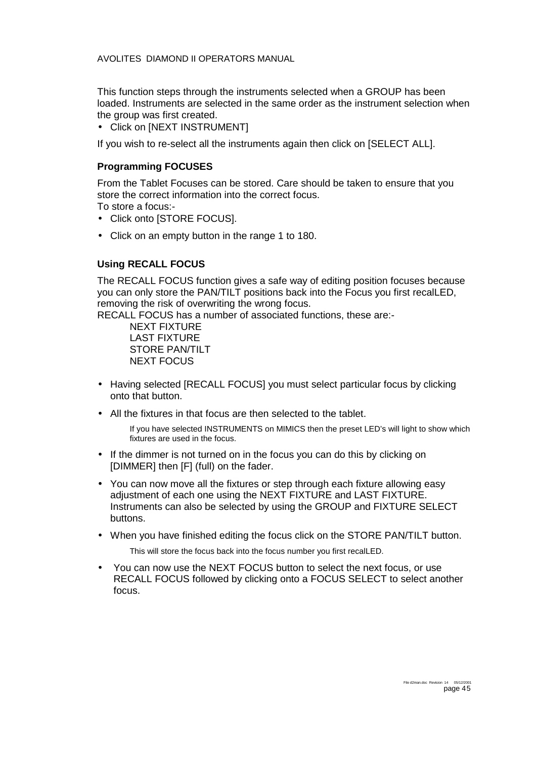This function steps through the instruments selected when a GROUP has been loaded. Instruments are selected in the same order as the instrument selection when the group was first created.

• Click on [NEXT INSTRUMENT]

If you wish to re-select all the instruments again then click on [SELECT ALL].

#### **Programming FOCUSES**

From the Tablet Focuses can be stored. Care should be taken to ensure that you store the correct information into the correct focus.

To store a focus:-

- Click onto [STORE FOCUS].
- Click on an empty button in the range 1 to 180.

#### **Using RECALL FOCUS**

The RECALL FOCUS function gives a safe way of editing position focuses because you can only store the PAN/TILT positions back into the Focus you first recalLED, removing the risk of overwriting the wrong focus.

RECALL FOCUS has a number of associated functions, these are:-

 NEXT FIXTURE LAST FIXTURE STORE PAN/TILT NEXT FOCUS

- Having selected [RECALL FOCUS] you must select particular focus by clicking onto that button.
- All the fixtures in that focus are then selected to the tablet.

If you have selected INSTRUMENTS on MIMICS then the preset LED's will light to show which fixtures are used in the focus.

- If the dimmer is not turned on in the focus you can do this by clicking on [DIMMER] then [F] (full) on the fader.
- You can now move all the fixtures or step through each fixture allowing easy adjustment of each one using the NEXT FIXTURE and LAST FIXTURE. Instruments can also be selected by using the GROUP and FIXTURE SELECT buttons.
- When you have finished editing the focus click on the STORE PAN/TILT button. This will store the focus back into the focus number you first recalLED.
- You can now use the NEXT FOCUS button to select the next focus, or use RECALL FOCUS followed by clicking onto a FOCUS SELECT to select another focus.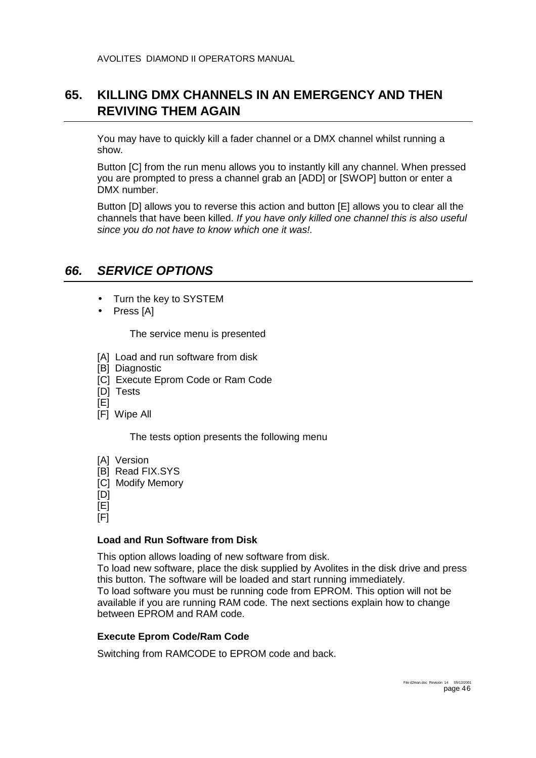### <span id="page-45-0"></span>**65. KILLING DMX CHANNELS IN AN EMERGENCY AND THEN REVIVING THEM AGAIN**

You may have to quickly kill a fader channel or a DMX channel whilst running a show.

Button [C] from the run menu allows you to instantly kill any channel. When pressed you are prompted to press a channel grab an [ADD] or [SWOP] button or enter a DMX number.

Button [D] allows you to reverse this action and button [E] allows you to clear all the channels that have been killed. *If you have only killed one channel this is also useful since you do not have to know which one it was!.* 

### *66. SERVICE OPTIONS*

- Turn the key to SYSTEM
- Press [A]

The service menu is presented

- [A] Load and run software from disk
- [B] Diagnostic
- [C] Execute Eprom Code or Ram Code
- [D] Tests
- $[E]$
- [F] Wipe All

The tests option presents the following menu

- [A] Version [B] Read FIX.SYS
- [C] Modify Memory
- [D]

[E]

[F]

#### **Load and Run Software from Disk**

This option allows loading of new software from disk.

To load new software, place the disk supplied by Avolites in the disk drive and press this button. The software will be loaded and start running immediately. To load software you must be running code from EPROM. This option will not be available if you are running RAM code. The next sections explain how to change between EPROM and RAM code.

#### **Execute Eprom Code/Ram Code**

Switching from RAMCODE to EPROM code and back.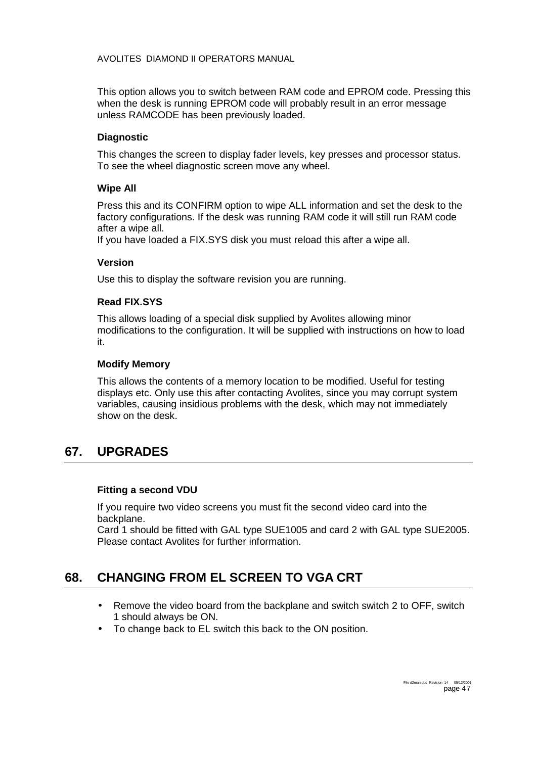<span id="page-46-0"></span>This option allows you to switch between RAM code and EPROM code. Pressing this when the desk is running EPROM code will probably result in an error message unless RAMCODE has been previously loaded.

#### **Diagnostic**

This changes the screen to display fader levels, key presses and processor status. To see the wheel diagnostic screen move any wheel.

#### **Wipe All**

Press this and its CONFIRM option to wipe ALL information and set the desk to the factory configurations. If the desk was running RAM code it will still run RAM code after a wipe all.

If you have loaded a FIX.SYS disk you must reload this after a wipe all.

#### **Version**

Use this to display the software revision you are running.

#### **Read FIX.SYS**

This allows loading of a special disk supplied by Avolites allowing minor modifications to the configuration. It will be supplied with instructions on how to load it.

#### **Modify Memory**

This allows the contents of a memory location to be modified. Useful for testing displays etc. Only use this after contacting Avolites, since you may corrupt system variables, causing insidious problems with the desk, which may not immediately show on the desk.

### **67. UPGRADES**

#### **Fitting a second VDU**

If you require two video screens you must fit the second video card into the backplane.

Card 1 should be fitted with GAL type SUE1005 and card 2 with GAL type SUE2005. Please contact Avolites for further information.

### **68. CHANGING FROM EL SCREEN TO VGA CRT**

- Remove the video board from the backplane and switch switch 2 to OFF, switch 1 should always be ON.
- To change back to EL switch this back to the ON position.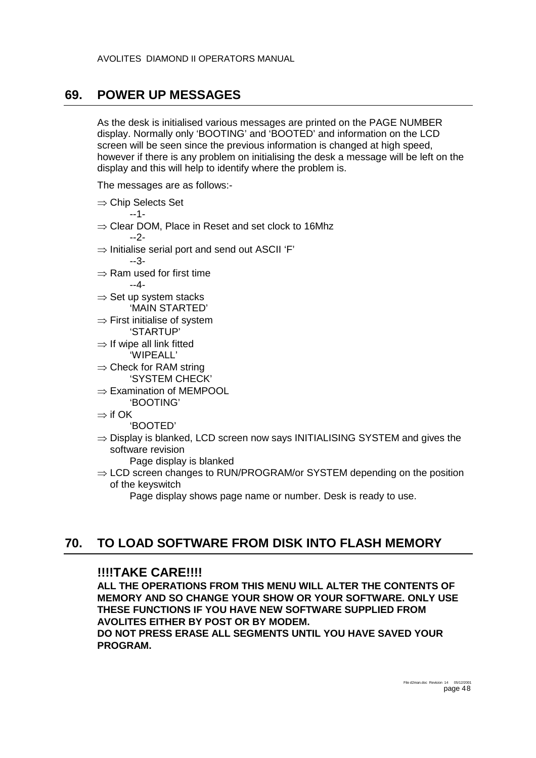### <span id="page-47-0"></span>**69. POWER UP MESSAGES**

As the desk is initialised various messages are printed on the PAGE NUMBER display. Normally only 'BOOTING' and 'BOOTED' and information on the LCD screen will be seen since the previous information is changed at high speed, however if there is any problem on initialising the desk a message will be left on the display and this will help to identify where the problem is.

The messages are as follows:-

⇒ Chip Selects Set

--1-

- ⇒ Clear DOM, Place in Reset and set clock to 16Mhz --2-
- $\Rightarrow$  Initialise serial port and send out ASCII 'F'
	- --3-
- ⇒ Ram used for first time --4-
- $\Rightarrow$  Set up system stacks 'MAIN STARTED'
- ⇒ First initialise of system 'STARTUP'
- $\Rightarrow$  If wipe all link fitted 'WIPEALL'
- $\Rightarrow$  Check for RAM string 'SYSTEM CHECK'
- ⇒ Examination of MEMPOOL 'BOOTING'
- ⇒ if OK

'BOOTED'

- ⇒ Display is blanked, LCD screen now says INITIALISING SYSTEM and gives the software revision
	- Page display is blanked
- $\Rightarrow$  LCD screen changes to RUN/PROGRAM/or SYSTEM depending on the position of the keyswitch

Page display shows page name or number. Desk is ready to use.

### **70. TO LOAD SOFTWARE FROM DISK INTO FLASH MEMORY**

### **!!!!TAKE CARE!!!!**

**ALL THE OPERATIONS FROM THIS MENU WILL ALTER THE CONTENTS OF MEMORY AND SO CHANGE YOUR SHOW OR YOUR SOFTWARE. ONLY USE THESE FUNCTIONS IF YOU HAVE NEW SOFTWARE SUPPLIED FROM AVOLITES EITHER BY POST OR BY MODEM.** 

**DO NOT PRESS ERASE ALL SEGMENTS UNTIL YOU HAVE SAVED YOUR PROGRAM.**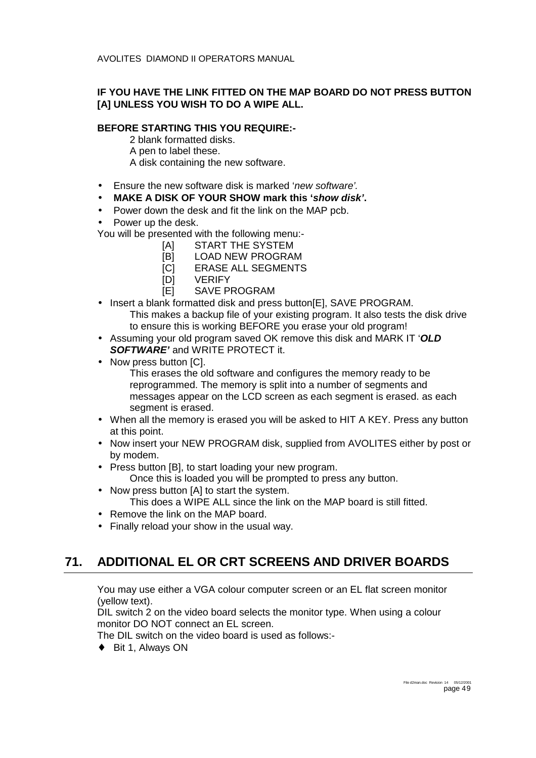### <span id="page-48-0"></span>**IF YOU HAVE THE LINK FITTED ON THE MAP BOARD DO NOT PRESS BUTTON [A] UNLESS YOU WISH TO DO A WIPE ALL.**

#### **BEFORE STARTING THIS YOU REQUIRE:-**

2 blank formatted disks.

- A pen to label these.
- A disk containing the new software.
- Ensure the new software disk is marked '*new software'.*
- **MAKE A DISK OF YOUR SHOW mark this '***show disk'***.**
- Power down the desk and fit the link on the MAP pcb.
- Power up the desk.

You will be presented with the following menu:-

- [A] START THE SYSTEM
- [B] LOAD NEW PROGRAM
- [C] ERASE ALL SEGMENTS
- [D] VERIFY
- [E] SAVE PROGRAM
- Insert a blank formatted disk and press button [E], SAVE PROGRAM. This makes a backup file of your existing program. It also tests the disk drive to ensure this is working BEFORE you erase your old program!
- Assuming your old program saved OK remove this disk and MARK IT '*OLD SOFTWARE'* and WRITE PROTECT it.
- Now press button [C].
	- This erases the old software and configures the memory ready to be reprogrammed. The memory is split into a number of segments and messages appear on the LCD screen as each segment is erased. as each segment is erased.
- When all the memory is erased you will be asked to HIT A KEY. Press any button at this point.
- Now insert your NEW PROGRAM disk, supplied from AVOLITES either by post or by modem.
- Press button [B], to start loading your new program. Once this is loaded you will be prompted to press any button.
- Now press button [A] to start the system. This does a WIPE ALL since the link on the MAP board is still fitted.
- Remove the link on the MAP board.
- Finally reload your show in the usual way.

# **71. ADDITIONAL EL OR CRT SCREENS AND DRIVER BOARDS**

You may use either a VGA colour computer screen or an EL flat screen monitor (yellow text).

DIL switch 2 on the video board selects the monitor type. When using a colour monitor DO NOT connect an EL screen.

The DIL switch on the video board is used as follows:-

♦ Bit 1, Always ON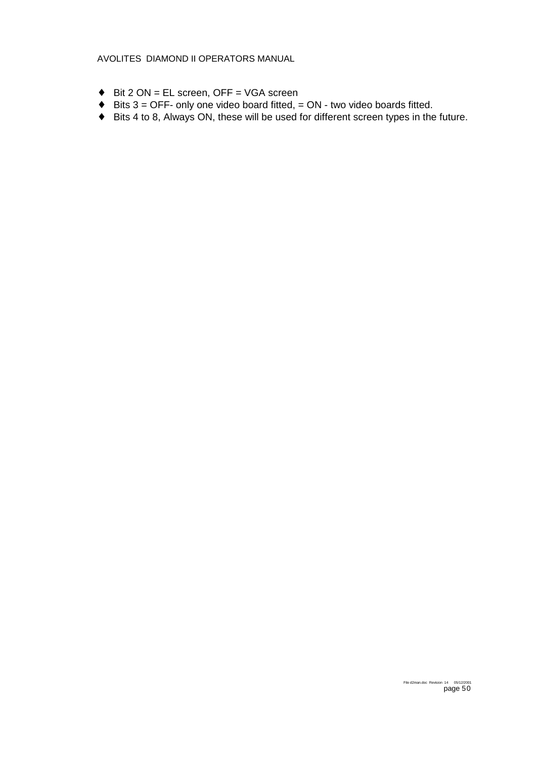- ♦ Bit 2 ON = EL screen, OFF = VGA screen
- $\triangle$  Bits 3 = OFF- only one video board fitted, = ON two video boards fitted.
- ♦ Bits 4 to 8, Always ON, these will be used for different screen types in the future.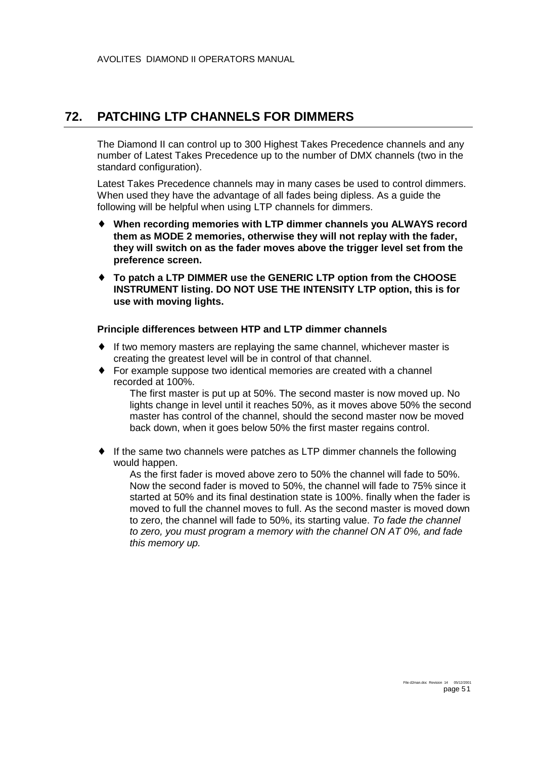### <span id="page-50-0"></span>**72. PATCHING LTP CHANNELS FOR DIMMERS**

The Diamond II can control up to 300 Highest Takes Precedence channels and any number of Latest Takes Precedence up to the number of DMX channels (two in the standard configuration).

Latest Takes Precedence channels may in many cases be used to control dimmers. When used they have the advantage of all fades being dipless. As a guide the following will be helpful when using LTP channels for dimmers.

- ♦ **When recording memories with LTP dimmer channels you ALWAYS record them as MODE 2 memories, otherwise they will not replay with the fader, they will switch on as the fader moves above the trigger level set from the preference screen.**
- ♦ **To patch a LTP DIMMER use the GENERIC LTP option from the CHOOSE INSTRUMENT listing. DO NOT USE THE INTENSITY LTP option, this is for use with moving lights.**

#### **Principle differences between HTP and LTP dimmer channels**

- ♦ If two memory masters are replaying the same channel, whichever master is creating the greatest level will be in control of that channel.
- ♦ For example suppose two identical memories are created with a channel recorded at 100%.

The first master is put up at 50%. The second master is now moved up. No lights change in level until it reaches 50%, as it moves above 50% the second master has control of the channel, should the second master now be moved back down, when it goes below 50% the first master regains control.

♦ If the same two channels were patches as LTP dimmer channels the following would happen.

As the first fader is moved above zero to 50% the channel will fade to 50%. Now the second fader is moved to 50%, the channel will fade to 75% since it started at 50% and its final destination state is 100%. finally when the fader is moved to full the channel moves to full. As the second master is moved down to zero, the channel will fade to 50%, its starting value. *To fade the channel to zero, you must program a memory with the channel ON AT 0%, and fade this memory up.*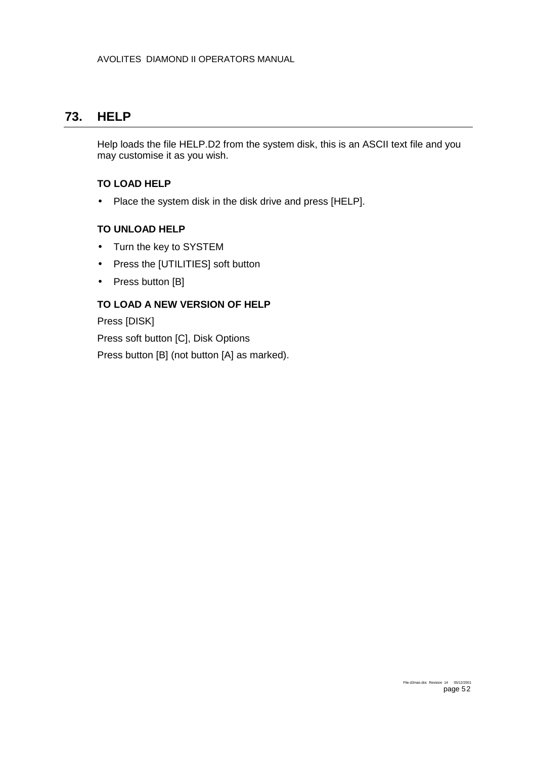### <span id="page-51-0"></span>**73. HELP**

Help loads the file HELP.D2 from the system disk, this is an ASCII text file and you may customise it as you wish.

#### **TO LOAD HELP**

• Place the system disk in the disk drive and press [HELP].

#### **TO UNLOAD HELP**

- Turn the key to SYSTEM
- Press the [UTILITIES] soft button
- Press button [B]

### **TO LOAD A NEW VERSION OF HELP**

Press [DISK]

Press soft button [C], Disk Options

Press button [B] (not button [A] as marked).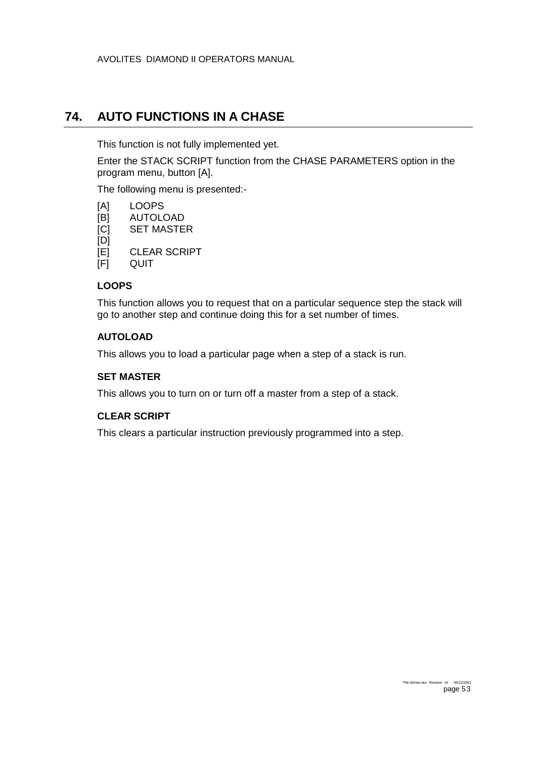### <span id="page-52-0"></span>**74. AUTO FUNCTIONS IN A CHASE**

This function is not fully implemented yet.

Enter the STACK SCRIPT function from the CHASE PARAMETERS option in the program menu, button [A].

The following menu is presented:-

- [A] LOOPS
- [B] AUTOLOAD
- [C] SET MASTER
- [D]
- [E] CLEAR SCRIPT

[F] QUIT

#### **LOOPS**

This function allows you to request that on a particular sequence step the stack will go to another step and continue doing this for a set number of times.

#### **AUTOLOAD**

This allows you to load a particular page when a step of a stack is run.

#### **SET MASTER**

This allows you to turn on or turn off a master from a step of a stack.

#### **CLEAR SCRIPT**

This clears a particular instruction previously programmed into a step.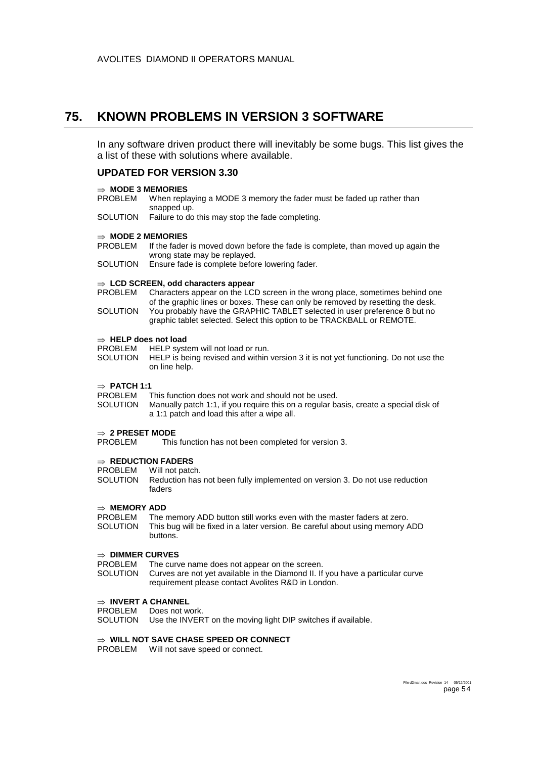### <span id="page-53-0"></span>**75. KNOWN PROBLEMS IN VERSION 3 SOFTWARE**

In any software driven product there will inevitably be some bugs. This list gives the a list of these with solutions where available.

#### **UPDATED FOR VERSION 3.30**

#### ⇒ **MODE 3 MEMORIES**

- PROBLEM When replaying a MODE 3 memory the fader must be faded up rather than snapped up.
- SOLUTION Failure to do this may stop the fade completing.

#### ⇒ **MODE 2 MEMORIES**

- PROBLEM If the fader is moved down before the fade is complete, than moved up again the wrong state may be replayed.
- SOLUTION Ensure fade is complete before lowering fader.

#### ⇒ **LCD SCREEN, odd characters appear**

- PROBLEM Characters appear on the LCD screen in the wrong place, sometimes behind one of the graphic lines or boxes. These can only be removed by resetting the desk.
- SOLUTION You probably have the GRAPHIC TABLET selected in user preference 8 but no graphic tablet selected. Select this option to be TRACKBALL or REMOTE.

# ⇒ **HELP does not load**

- HELP system will not load or run.
- SOLUTION HELP is being revised and within version 3 it is not yet functioning. Do not use the on line help.

#### ⇒ **PATCH 1:1**

- PROBLEM This function does not work and should not be used.
- SOLUTION Manually patch 1:1, if you require this on a regular basis, create a special disk of a 1:1 patch and load this after a wipe all.

#### ⇒ **2 PRESET MODE**

PROBLEM This function has not been completed for version 3.

# ⇒ **REDUCTION FADERS**

- Will not patch.
- SOLUTION Reduction has not been fully implemented on version 3. Do not use reduction faders

#### ⇒ **MEMORY ADD**

PROBLEM The memory ADD button still works even with the master faders at zero.<br>SOLUTION This bug will be fixed in a later version. Be careful about using memory A This bug will be fixed in a later version. Be careful about using memory ADD buttons.

#### ⇒ **DIMMER CURVES**

- PROBLEM The curve name does not appear on the screen.
- SOLUTION Curves are not yet available in the Diamond II. If you have a particular curve requirement please contact Avolites R&D in London.

#### ⇒ **INVERT A CHANNEL**

PROBLEM Does not work.

SOLUTION Use the INVERT on the moving light DIP switches if available.

#### ⇒ **WILL NOT SAVE CHASE SPEED OR CONNECT**

PROBLEM Will not save speed or connect.